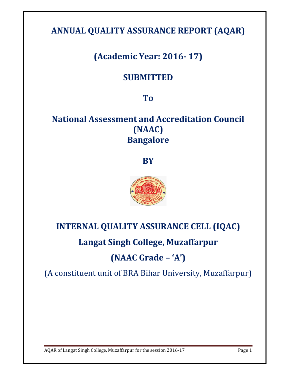# **ANNUAL QUALITY ASSURANCE REPORT (AQAR)**

# **(Academic Year: 2016- 17)**

# **SUBMITTED**

# **To**

# **National Assessment and Accreditation Council (NAAC) Bangalore**

**BY** 



# **INTERNAL QUALITY ASSURANCE CELL (IQAC) Langat Singh College, Muzaffarpur**

# **(NAAC Grade – 'A')**

(A constituent unit of BRA Bihar University, Muzaffarpur)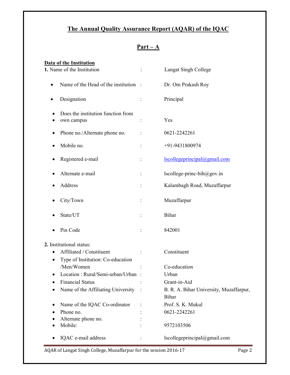# **The Annual Quality Assurance Report (AQAR) of the IQAC**

| ۰<br>L.<br>ı<br>٠ |  |
|-------------------|--|
|                   |  |

| <b>Data of the Institution</b>                   |          |                                                  |
|--------------------------------------------------|----------|--------------------------------------------------|
| 1. Name of the Institution                       |          | Langat Singh College                             |
| Name of the Head of the institution :            |          | Dr. Om Prakash Roy                               |
| Designation                                      |          | Principal                                        |
| Does the institution function from<br>own campus |          | Yes                                              |
| Phone no./Alternate phone no.                    |          | 0621-2242261                                     |
| Mobile no.                                       |          | +91-9431800974                                   |
| Registered e-mail                                |          | Iscollegeprincipal@gmail.com                     |
| Alternate e-mail                                 | $\vdots$ | lscollege-princ-bih@gov.in                       |
| Address                                          |          | Kalambagh Road, Muzaffarpur                      |
| City/Town                                        |          | Muzaffarpur                                      |
| State/UT                                         |          | Bihar                                            |
| Pin Code                                         |          | 842001                                           |
| 2. Institutional status:                         |          |                                                  |
| Affiliated / Constituent<br>$\bullet$            |          | Constituent                                      |
| Type of Institution: Co-education                |          |                                                  |
| /Men/Women                                       |          | Co-education                                     |
| Location: Rural/Semi-urban/Urban:                |          | Urban                                            |
| <b>Financial Status</b>                          |          | Grant-in-Aid                                     |
| Name of the Affiliating University               |          | B. R. A. Bihar University, Muzaffarpur,<br>Bihar |
| Name of the IQAC Co-ordinator                    |          | Prof. S. K. Mukul                                |
| Phone no.                                        |          | 0621-2242261                                     |
| Alternate phone no.                              |          |                                                  |
| Mobile:                                          |          | 9572103506                                       |
| IQAC e-mail address                              |          | lscollegeprincipal@gmail.com                     |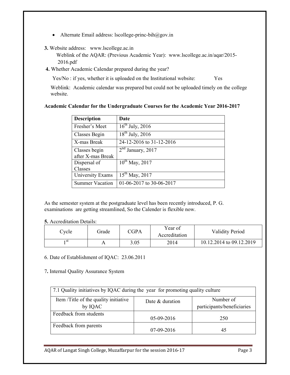• Alternate Email address: lscollege-princ-bih@gov.in

## **3.** Website address: www.lscollege.ac.in

 Weblink of the AQAR: (Previous Academic Year): www.lscollege.ac.in/aqar/2015- 2016.pdf

**4.** Whether Academic Calendar prepared during the year?

Yes/No : if yes, whether it is uploaded on the Institutional website: Yes

Weblink: Academic calendar was prepared but could not be uploaded timely on the college website.

| <b>Description</b>     | Date                     |
|------------------------|--------------------------|
| Fresher's Meet         | $16^{th}$ July, 2016     |
| Classes Begin          | $18^{th}$ July, 2016     |
| X-mas Break            | 24-12-2016 to 31-12-2016 |
| Classes begin          | $2nd$ January, 2017      |
| after X-mas Break      |                          |
| Dispersal of           | $10^{th}$ May, 2017      |
| Classes                |                          |
| University Exams       | $15^{th}$ May, 2017      |
| <b>Summer Vacation</b> | 01-06-2017 to 30-06-2017 |

#### **Academic Calendar for the Undergraduate Courses for the Academic Year 2016-2017**

As the semester system at the postgraduate level has been recently introduced, P. G. examinations are getting streamlined, So the Calender is flexible now.

#### **5.** Accreditation Details:

| $\mathbb{C}$ ycle | Grade | C <sub>CPA</sub> | Year of<br>Accreditation | <b>Validity Period</b>   |
|-------------------|-------|------------------|--------------------------|--------------------------|
| ı st              |       | 3.05             | 2014                     | 10.12.2014 to 09.12.2019 |

# 6. Date of Establishment of IQAC: 23.06.2011

7**.** Internal Quality Assurance System

| 7.1 Quality initiatives by IQAC during the year for promoting quality culture                                  |              |     |  |  |  |
|----------------------------------------------------------------------------------------------------------------|--------------|-----|--|--|--|
| Item /Title of the quality initiative<br>Number of<br>Date & duration<br>participants/beneficiaries<br>by IQAC |              |     |  |  |  |
| Feedback from students                                                                                         | 05-09-2016   | 250 |  |  |  |
| Feedback from parents                                                                                          | $07-09-2016$ |     |  |  |  |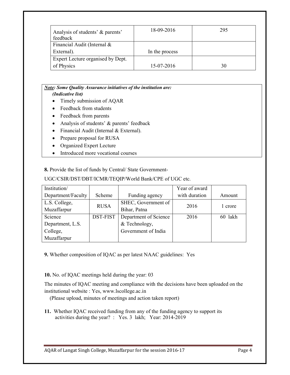| Analysis of students' & parents'<br>feedback | 18-09-2016     | 295 |
|----------------------------------------------|----------------|-----|
| Financial Audit (Internal &                  |                |     |
| External).                                   | In the process |     |
| Expert Lecture organised by Dept.            |                |     |
| of Physics                                   | 15-07-2016     | 30  |

#### *Note: Some Quality Assurance initiatives of the institution are: (Indicative list)*

- Timely submission of AQAR
- Feedback from students
- Feedback from parents
- Analysis of students' & parents' feedback
- Financial Audit (Internal & External).
- Prepare proposal for RUSA
- Organized Expert Lecture
- Introduced more vocational courses

**8.** Provide the list of funds by Central/ State Government-

| Institution/       |             |                       | Year of award |         |  |
|--------------------|-------------|-----------------------|---------------|---------|--|
| Department/Faculty | Scheme      | Funding agency        | with duration | Amount  |  |
| L.S. College,      | <b>RUSA</b> | SHEC, Government of   | 2016          |         |  |
| Muzaffarpur        |             | Bihar, Patna          |               | 1 crore |  |
| Science            | DST-FIST    | Department of Science | 2016          | 60 lakh |  |
| Department, L.S.   |             | & Technology,         |               |         |  |
| College,           |             | Government of India   |               |         |  |
| Muzaffarpur        |             |                       |               |         |  |

**9.** Whether composition of IQAC as per latest NAAC guidelines: Yes

**10.** No. of IQAC meetings held during the year: 03

The minutes of IQAC meeting and compliance with the decisions have been uploaded on the institutional website : Yes, www.lscollege.ac.in

(Please upload, minutes of meetings and action taken report)

**11.** Whether IQAC received funding from any of the funding agency to support its activities during the year? : Yes. 3 lakh; Year: 2014-2019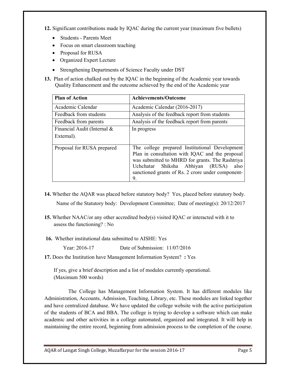**12.** Significant contributions made by IQAC during the current year (maximum five bullets)

- Students Parents Meet
- Focus on smart classroom teaching
- Proposal for RUSA
- Organized Expert Lecture
- Strengthening Departments of Science Faculty under DST

**13.** Plan of action chalked out by the IQAC in the beginning of the Academic year towards Quality Enhancement and the outcome achieved by the end of the Academic year

| <b>Plan of Action</b>       | <b>Achievements/Outcome</b>                                                                                                                                                                                                                                    |
|-----------------------------|----------------------------------------------------------------------------------------------------------------------------------------------------------------------------------------------------------------------------------------------------------------|
| Academic Calendar           | Academic Calendar (2016-2017)                                                                                                                                                                                                                                  |
| Feedback from students      | Analysis of the feedback report from students                                                                                                                                                                                                                  |
| Feedback from parents       | Analysis of the feedback report from parents                                                                                                                                                                                                                   |
| Financial Audit (Internal & | In progress                                                                                                                                                                                                                                                    |
| External).                  |                                                                                                                                                                                                                                                                |
| Proposal for RUSA prepared  | The college prepared Institutional Development<br>Plan in consultation with IQAC and the proposal<br>was submitted to MHRD for grants. The Rashtriya<br>Shiksha Abhiyan (RUSA)<br>Uchchatar<br>also<br>sanctioned grants of Rs. 2 crore under component-<br>9. |

- **14.** Whether the AQAR was placed before statutory body? Yes, placed before statutory body. Name of the Statutory body: Development Committee; Date of meeting(s): 20/12/2017
- **15.** Whether NAAC/or any other accredited body(s) visited IQAC or interacted with it to assess the functioning? : No
- **16.** Whether institutional data submitted to AISHE: Yes

Year: 2016-17 Date of Submission: 11/07/2016

**17.** Does the Institution have Management Information System? **:** Yes

 If yes, give a brief description and a list of modules currently operational. (Maximum 500 words)

The College has Management Information System. It has different modules like Administration, Accounts, Admission, Teaching, Library, etc. These modules are linked together and have centralized database. We have updated the college website with the active participation of the students of BCA and BBA. The college is trying to develop a software which can make academic and other activities in a college automated, organized and integrated. It will help in maintaining the entire record, beginning from admission process to the completion of the course.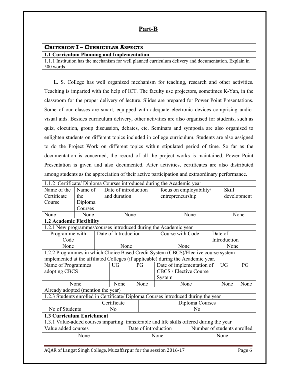# **Part-B**

# **CRITERION I – CURRICULAR ASPECTS**

#### **1.1 Curriculum Planning and Implementation**

1.1.1 Institution has the mechanism for well planned curriculum delivery and documentation. Explain in 500 words

 L. S. College has well organized mechanism for teaching, research and other activities. Teaching is imparted with the help of ICT. The faculty use projectors, sometimes K-Yan, in the classroom for the proper delivery of lecture. Slides are prepared for Power Point Presentations. Some of our classes are smart, equipped with adequate electronic devices comprising audiovisual aids. Besides curriculum delivery, other activities are also organised for students, such as quiz, elocution, group discussion, debates, etc. Seminars and symposia are also organised to enlighten students on different topics included in college curriculum. Students are also assigned to do the Project Work on different topics within stipulated period of time. So far as the documentation is concerned, the record of all the project works is maintained. Power Point Presentation is given and also documented. After activities, certificates are also distributed among students as the appreciation of their active participation and extraordinary performance.

| 1.1.2 Certificate/ Diploma Courses introduced during the Academic year                   |         |  |                      |                                                     |      |                                                                                    |                           |      |              |                |  |
|------------------------------------------------------------------------------------------|---------|--|----------------------|-----------------------------------------------------|------|------------------------------------------------------------------------------------|---------------------------|------|--------------|----------------|--|
| Name of the                                                                              | Name of |  | Date of introduction |                                                     |      |                                                                                    | focus on employability/   |      | <b>Skill</b> |                |  |
| Certificate                                                                              | the     |  | and duration         |                                                     |      |                                                                                    | entrepreneurship          |      |              | development    |  |
| Course                                                                                   | Diploma |  |                      |                                                     |      |                                                                                    |                           |      |              |                |  |
|                                                                                          | Courses |  |                      |                                                     |      |                                                                                    |                           |      |              |                |  |
| None                                                                                     | None    |  |                      | None                                                |      |                                                                                    | None                      |      |              | None           |  |
| 1.2 Academic Flexibility                                                                 |         |  |                      |                                                     |      |                                                                                    |                           |      |              |                |  |
|                                                                                          |         |  |                      |                                                     |      | 1.2.1 New programmes/courses introduced during the Academic year                   |                           |      |              |                |  |
| Programme with                                                                           |         |  | Date of Introduction |                                                     |      | Course with Code                                                                   |                           |      | Date of      |                |  |
| Code                                                                                     |         |  |                      |                                                     |      |                                                                                    |                           |      | Introduction |                |  |
| None                                                                                     |         |  |                      | None                                                |      | None                                                                               |                           |      | None         |                |  |
|                                                                                          |         |  |                      |                                                     |      | 1.2.2 Programmes in which Choice Based Credit System (CBCS)/Elective course system |                           |      |              |                |  |
|                                                                                          |         |  |                      |                                                     |      | implemented at the affiliated Colleges (if applicable) during the Academic year.   |                           |      |              |                |  |
| Name of Programmes                                                                       |         |  | <b>UG</b>            |                                                     | PG   |                                                                                    | Date of implementation of |      | <b>UG</b>    | P <sub>G</sub> |  |
| adopting CBCS                                                                            |         |  |                      |                                                     |      | CBCS / Elective Course                                                             |                           |      |              |                |  |
|                                                                                          |         |  |                      |                                                     |      | System                                                                             |                           |      |              |                |  |
|                                                                                          | None    |  | None                 |                                                     | None | None                                                                               |                           | None | None         |                |  |
| Already adopted (mention the year)                                                       |         |  |                      |                                                     |      |                                                                                    |                           |      |              |                |  |
|                                                                                          |         |  |                      |                                                     |      | 1.2.3 Students enrolled in Certificate/ Diploma Courses introduced during the year |                           |      |              |                |  |
|                                                                                          |         |  | Certificate          |                                                     |      |                                                                                    | Diploma Courses           |      |              |                |  |
| No of Students                                                                           |         |  | N <sub>0</sub><br>No |                                                     |      |                                                                                    |                           |      |              |                |  |
| <b>1.3 Curriculum Enrichment</b>                                                         |         |  |                      |                                                     |      |                                                                                    |                           |      |              |                |  |
| 1.3.1 Value-added courses imparting transferable and life skills offered during the year |         |  |                      |                                                     |      |                                                                                    |                           |      |              |                |  |
| Value added courses                                                                      |         |  |                      | Number of students enrolled<br>Date of introduction |      |                                                                                    |                           |      |              |                |  |
|                                                                                          | None    |  |                      |                                                     |      | None                                                                               |                           |      | None         |                |  |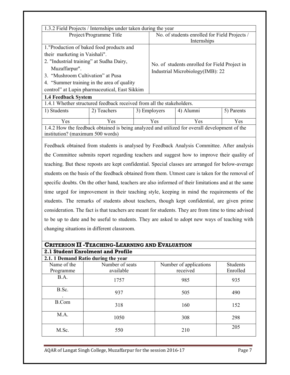| 1.3.2 Field Projects / Internships under taken during the year                                                                                                                            |             |  |                                               |                                                                                               |            |  |
|-------------------------------------------------------------------------------------------------------------------------------------------------------------------------------------------|-------------|--|-----------------------------------------------|-----------------------------------------------------------------------------------------------|------------|--|
| Project/Programme Title                                                                                                                                                                   |             |  | No. of students enrolled for Field Projects / |                                                                                               |            |  |
|                                                                                                                                                                                           |             |  |                                               | Internships                                                                                   |            |  |
| 1. "Production of baked food products and                                                                                                                                                 |             |  |                                               |                                                                                               |            |  |
| their marketing in Vaishali".                                                                                                                                                             |             |  |                                               | No. of students enrolled for Field Project in                                                 |            |  |
| 2. "Industrial training" at Sudha Dairy,                                                                                                                                                  |             |  |                                               |                                                                                               |            |  |
| Muzaffarpur".                                                                                                                                                                             |             |  |                                               |                                                                                               |            |  |
| 3. "Mushroom Cultivation" at Pusa                                                                                                                                                         |             |  |                                               | Industrial Microbiology(IMB): 22                                                              |            |  |
| 4. "Summer training in the area of quality                                                                                                                                                |             |  |                                               |                                                                                               |            |  |
| control" at Lupin pharmaceutical, East Sikkim                                                                                                                                             |             |  |                                               |                                                                                               |            |  |
| <b>1.4 Feedback System</b>                                                                                                                                                                |             |  |                                               |                                                                                               |            |  |
| 1.4.1 Whether structured feedback received from all the stakeholders.                                                                                                                     |             |  |                                               |                                                                                               |            |  |
| 1) Students                                                                                                                                                                               | 2) Teachers |  | 3) Employers                                  | 4) Alumni                                                                                     | 5) Parents |  |
|                                                                                                                                                                                           |             |  |                                               |                                                                                               |            |  |
| Yes                                                                                                                                                                                       | Yes         |  | Yes                                           | Yes                                                                                           | <b>Yes</b> |  |
|                                                                                                                                                                                           |             |  |                                               | 1.4.2 How the feedback obtained is being analyzed and utilized for overall development of the |            |  |
| institution? (maximum 500 words)                                                                                                                                                          |             |  |                                               |                                                                                               |            |  |
| Feedback obtained from students is analysed by Feedback Analysis Committee. After analysis<br>the Committee submits report regarding teachers and suggest how to improve their quality of |             |  |                                               |                                                                                               |            |  |
|                                                                                                                                                                                           |             |  |                                               |                                                                                               |            |  |

teaching. But these reposts are kept confidential. Special classes are arranged for below-average students on the basis of the feedback obtained from them. Utmost care is taken for the removal of specific doubts. On the other hand, teachers are also informed of their limitations and at the same time urged for improvement in their teaching style, keeping in mind the requirements of the students. The remarks of students about teachers, though kept confidential, are given prime consideration. The fact is that teachers are meant for students. They are from time to time advised to be up to date and be useful to students. They are asked to adopt new ways of teaching with changing situations in different classroom.

| <b>CRITERION II - TEACHING-LEARNING AND EVALUATION</b> |                                     |                        |                 |  |  |  |  |  |
|--------------------------------------------------------|-------------------------------------|------------------------|-----------------|--|--|--|--|--|
|                                                        | 2.1 Student Enrolment and Profile   |                        |                 |  |  |  |  |  |
|                                                        | 2.1. 1 Demand Ratio during the year |                        |                 |  |  |  |  |  |
| Name of the                                            | Number of seats                     | Number of applications | <b>Students</b> |  |  |  |  |  |
| Programme                                              | available                           | received               | Enrolled        |  |  |  |  |  |
| B.A.                                                   | 1757                                | 985                    | 935             |  |  |  |  |  |
| B.Sc.<br>$\ddot{\phantom{0}}$                          | 937                                 | 505                    | 490             |  |  |  |  |  |
| <b>B.Com</b>                                           | 318                                 | 160                    | 152             |  |  |  |  |  |
| M.A.                                                   | 1050                                | 308                    | 298             |  |  |  |  |  |
| M.Sc.                                                  | 550                                 | 210                    | 205             |  |  |  |  |  |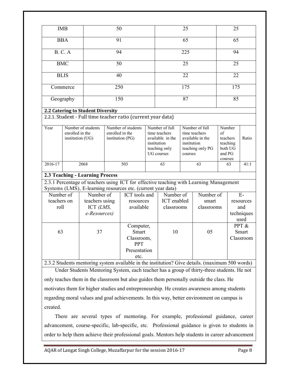|                     | <b>IMB</b>                          |                                               | 50                                  |                                                                                                 |                                                                                 |                           | 25                     |                                                       |                         | 25                              |                                        |
|---------------------|-------------------------------------|-----------------------------------------------|-------------------------------------|-------------------------------------------------------------------------------------------------|---------------------------------------------------------------------------------|---------------------------|------------------------|-------------------------------------------------------|-------------------------|---------------------------------|----------------------------------------|
|                     | <b>BBA</b>                          |                                               | 91                                  |                                                                                                 |                                                                                 |                           | 65                     |                                                       |                         | 65                              |                                        |
|                     | <b>B. C. A</b>                      |                                               | 94                                  |                                                                                                 |                                                                                 | 225                       |                        |                                                       | 94                      |                                 |                                        |
|                     | <b>BMC</b>                          |                                               | 50                                  |                                                                                                 |                                                                                 |                           | 25                     |                                                       |                         | 25                              |                                        |
|                     | <b>BLIS</b>                         |                                               | 40                                  |                                                                                                 |                                                                                 | 22                        |                        |                                                       | 22                      |                                 |                                        |
|                     |                                     |                                               |                                     |                                                                                                 |                                                                                 |                           |                        |                                                       |                         |                                 |                                        |
|                     | Commerce                            |                                               | 250                                 |                                                                                                 |                                                                                 |                           | 175                    |                                                       |                         | 175                             |                                        |
|                     | Geography                           |                                               | 150                                 |                                                                                                 |                                                                                 |                           | 87                     |                                                       |                         | 85                              |                                        |
|                     |                                     | 2.2 Catering to Student Diversity             |                                     |                                                                                                 |                                                                                 |                           |                        |                                                       |                         |                                 |                                        |
|                     |                                     |                                               |                                     | 2.2.1. Student - Full time teacher ratio (current year data)                                    |                                                                                 |                           |                        |                                                       |                         |                                 |                                        |
| Year                |                                     | Number of students                            |                                     | Number of students                                                                              |                                                                                 | Number of full            |                        | Number of full                                        | Number                  |                                 |                                        |
|                     | enrolled in the<br>institution (UG) |                                               | enrolled in the<br>institution (PG) |                                                                                                 | time teachers<br>available in the<br>institution<br>teaching only<br>UG courses |                           | institution<br>courses | time teachers<br>available in the<br>teaching only PG | of<br>and PG<br>courses | teachers<br>teaching<br>both UG | Ratio                                  |
| 2016-17             |                                     | 2068                                          |                                     | 503                                                                                             |                                                                                 | 63                        |                        | 63                                                    |                         | 63                              | 41:1                                   |
|                     |                                     | 2.3 Teaching - Learning Process               |                                     |                                                                                                 |                                                                                 |                           |                        |                                                       |                         |                                 |                                        |
|                     |                                     |                                               |                                     | 2.3.1 Percentage of teachers using ICT for effective teaching with Learning Management          |                                                                                 |                           |                        |                                                       |                         |                                 |                                        |
|                     |                                     |                                               |                                     | Systems (LMS), E-learning resources etc. (current year data)                                    |                                                                                 |                           |                        |                                                       |                         |                                 |                                        |
| Number of           |                                     | Number of                                     |                                     | ICT tools and                                                                                   |                                                                                 | Number of                 |                        | Number of                                             |                         |                                 | $E-$                                   |
| teachers on<br>roll |                                     | teachers using<br>ICT $(LMS,$<br>e-Resources) |                                     | resources<br>available                                                                          |                                                                                 | ICT enabled<br>classrooms |                        | smart<br>classrooms                                   |                         |                                 | resources<br>and<br>techniques<br>used |
| 63                  |                                     | 37                                            |                                     | Computer,<br>Smart<br>Classroom,<br><b>PPT</b><br>Presentation<br>etc.                          |                                                                                 | 10                        |                        | 05                                                    |                         |                                 | PPT &<br>Smart<br>Classroom            |
|                     |                                     |                                               |                                     | 2.3.2 Students mentoring system available in the institution? Give details. (maximum 500 words) |                                                                                 |                           |                        |                                                       |                         |                                 |                                        |
|                     |                                     |                                               |                                     | Under Students Mentoring System, each teacher has a group of thirty-three students. He not      |                                                                                 |                           |                        |                                                       |                         |                                 |                                        |

only teaches them in the classroom but also guides them personally outside the class. He motivates them for higher studies and entrepreneurship. He creates awareness among students regarding moral values and goal achievements. In this way, better environment on campus is created.

 There are several types of mentoring. For example, professional guidance, career advancement, course-specific, lab-specific, etc. Professional guidance is given to students in order to help them achieve their professional goals. Mentors help students in career advancement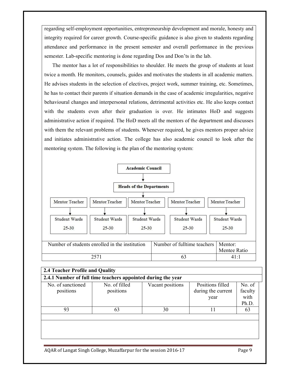regarding self-employment opportunities, entrepreneurship development and morale, honesty and integrity required for career growth. Course-specific guidance is also given to students regarding attendance and performance in the present semester and overall performance in the previous semester. Lab-specific mentoring is done regarding Dos and Don'ts in the lab.

 The mentor has a lot of responsibilities to shoulder. He meets the group of students at least twice a month. He monitors, counsels, guides and motivates the students in all academic matters. He advises students in the selection of electives, project work, summer training, etc. Sometimes, he has to contact their parents if situation demands in the case of academic irregularities, negative behavioural changes and interpersonal relations, detrimental activities etc. He also keeps contact with the students even after their graduation is over. He intimates HoD and suggests administrative action if required. The HoD meets all the mentors of the department and discusses with them the relevant problems of students. Whenever required, he gives mentors proper advice and initiates administrative action. The college has also academic council to look after the mentoring system. The following is the plan of the mentoring system:



| 2.4 Teacher Profile and Quality                              |                            |                  |                                                |                                    |  |  |  |  |
|--------------------------------------------------------------|----------------------------|------------------|------------------------------------------------|------------------------------------|--|--|--|--|
| 2.4.1 Number of full time teachers appointed during the year |                            |                  |                                                |                                    |  |  |  |  |
| No. of sanctioned<br>positions                               | No. of filled<br>positions | Vacant positions | Positions filled<br>during the current<br>year | No. of<br>faculty<br>with<br>Ph.D. |  |  |  |  |
| 93                                                           | 63                         | 30               | 11                                             | 63                                 |  |  |  |  |
|                                                              |                            |                  |                                                |                                    |  |  |  |  |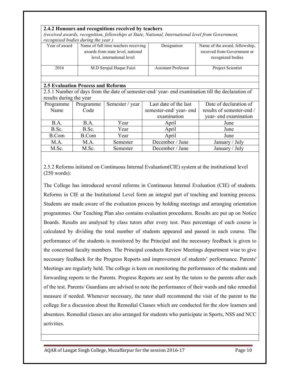|                                                                                    | 2.4.2 Honours and recognitions received by teachers   |                                      |                                                                                                     |                                                                                                 |  |  |  |  |  |
|------------------------------------------------------------------------------------|-------------------------------------------------------|--------------------------------------|-----------------------------------------------------------------------------------------------------|-------------------------------------------------------------------------------------------------|--|--|--|--|--|
|                                                                                    |                                                       |                                      | (received awards, recognition, fellowships at State, National, International level from Government, |                                                                                                 |  |  |  |  |  |
|                                                                                    | recognised bodies during the year)                    |                                      |                                                                                                     |                                                                                                 |  |  |  |  |  |
| Year of award                                                                      |                                                       | Name of full time teachers receiving | Designation                                                                                         | Name of the award, fellowship,                                                                  |  |  |  |  |  |
|                                                                                    |                                                       | awards from state level, national    |                                                                                                     | received from Government or                                                                     |  |  |  |  |  |
|                                                                                    |                                                       | level, international level           |                                                                                                     | recognized bodies                                                                               |  |  |  |  |  |
| <b>Assistant Professor</b><br>Project Scientist<br>2016<br>M.D Serajul Haque Faizi |                                                       |                                      |                                                                                                     |                                                                                                 |  |  |  |  |  |
|                                                                                    |                                                       |                                      |                                                                                                     |                                                                                                 |  |  |  |  |  |
|                                                                                    | <b>2.5 Evaluation Process and Reforms</b>             |                                      |                                                                                                     |                                                                                                 |  |  |  |  |  |
|                                                                                    |                                                       |                                      |                                                                                                     | 2.5.1 Number of days from the date of semester-end/year-end examination till the declaration of |  |  |  |  |  |
| results during the year                                                            |                                                       |                                      |                                                                                                     |                                                                                                 |  |  |  |  |  |
| Programme                                                                          | Programme                                             | Semester / year                      | Last date of the last                                                                               | Date of declaration of                                                                          |  |  |  |  |  |
| Name                                                                               | Code                                                  |                                      | semester-end/year-end                                                                               | results of semester-end /                                                                       |  |  |  |  |  |
|                                                                                    |                                                       |                                      | examination                                                                                         | year-end examination                                                                            |  |  |  |  |  |
| B.A.                                                                               | B.A.                                                  | Year                                 | April                                                                                               | June                                                                                            |  |  |  |  |  |
| B.Sc.                                                                              | B.Sc.                                                 | Year                                 | April                                                                                               | June                                                                                            |  |  |  |  |  |
| <b>B.Com</b>                                                                       | <b>B.Com</b>                                          | Year                                 | April                                                                                               | June                                                                                            |  |  |  |  |  |
| M.A.                                                                               | December / June<br>M.A.<br>Semester<br>January / July |                                      |                                                                                                     |                                                                                                 |  |  |  |  |  |
| M.Sc.                                                                              | M.Sc.                                                 | Semester                             | December / June                                                                                     | January / July                                                                                  |  |  |  |  |  |

2.5.2 Reforms initiated on Continuous Internal Evaluation(CIE) system at the institutional level (250 words):

The College has introduced several reforms in Continuous Internal Evaluation (CIE) of students. Reforms in CIE at the Institutional Level form an integral part of teaching and learning process. Students are made aware of the evaluation process by holding meetings and arranging orientation programmes. Our Teaching Plan also contains evaluation procedures. Results are put up on Notice Boards. Results are analysed by class tutors after every test. Pass percentage of each course is calculated by dividing the total number of students appeared and passed in each course. The performance of the students is monitored by the Principal and the necessary feedback is given to the concerned faculty members. The Principal conducts Review Meetings department wise to give necessary feedback for the Progress Reports and improvement of students' performance. Parents' Meetings are regularly held. The college is keen on monitoring the performance of the students and forwarding reports to the Parents. Progress Reports are sent by the tutors to the parents after each of the test. Parents/ Guardians are advised to note the performance of their wards and take remedial measure if needed. Whenever necessary, the tutor shall recommend the visit of the parent to the college for a discussion about the Remedial Classes which are conducted for the slow learners and absentees. Remedial classes are also arranged for students who participate in Sports, NSS and NCC activities.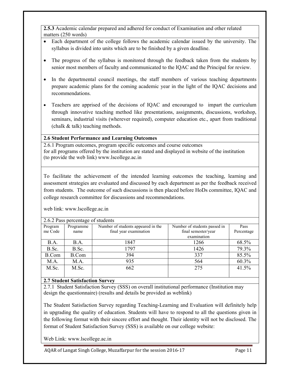**2.5.3** Academic calendar prepared and adhered for conduct of Examination and other related matters (250 words)

- Each department of the college follows the academic calendar issued by the university. The syllabus is divided into units which are to be finished by a given deadline.
- The progress of the syllabus is monitored through the feedback taken from the students by senior most members of faculty and communicated to the IQAC and the Principal for review.
- In the departmental council meetings, the staff members of various teaching departments prepare academic plans for the coming academic year in the light of the IQAC decisions and recommendations.
- Teachers are apprised of the decisions of IOAC and encouraged to impart the curriculum through innovative teaching method like presentations, assignments, discussions, workshop, seminars, industrial visits (wherever required), computer education etc., apart from traditional (chalk & talk) teaching methods.

# **2.6 Student Performance and Learning Outcomes**

2.6.1 Program outcomes, program specific outcomes and course outcomes for all programs offered by the institution are stated and displayed in website of the institution (to provide the web link) www.lscollege.ac.in

To facilitate the achievement of the intended learning outcomes the teaching, learning and assessment strategies are evaluated and discussed by each department as per the feedback received from students. The outcome of such discussions is then placed before HoDs committee, IQAC and college research committee for discussions and recommendations.

| 2.6.2 Pass percentage of students |              |                                    |                              |            |  |  |  |  |
|-----------------------------------|--------------|------------------------------------|------------------------------|------------|--|--|--|--|
| Program                           | Programme    | Number of students appeared in the | Number of students passed in | Pass       |  |  |  |  |
| me Code                           | name         | final year examination             | final semester/year          | Percentage |  |  |  |  |
|                                   |              |                                    | examination                  |            |  |  |  |  |
| <b>B.A.</b>                       | B.A.         | 1847                               | 1266                         | 68.5%      |  |  |  |  |
| B.Sc.                             | B.Sc.        | 1797                               | 1426                         | 79.3%      |  |  |  |  |
| B.Com                             | <b>B.Com</b> | 394                                | 337                          | 85.5%      |  |  |  |  |
| M.A.                              | M.A.         | 935                                | 564                          | 60.3%      |  |  |  |  |
| M.Sc.                             | M.Sc.        | 662                                | 275                          | 41.5%      |  |  |  |  |
|                                   |              |                                    |                              |            |  |  |  |  |

web link: www.lscollege.ac.in

# **2.7 Student Satisfaction Survey**

2.7.1 Student Satisfaction Survey (SSS) on overall institutional performance (Institution may design the questionnaire) (results and details be provided as weblink)

The Student Satisfaction Survey regarding Teaching-Learning and Evaluation will definitely help in upgrading the quality of education. Students will have to respond to all the questions given in the following format with their sincere effort and thought. Their identity will not be disclosed. The format of Student Satisfaction Survey (SSS) is available on our college website:

Web Link: www.lscollege.ac.in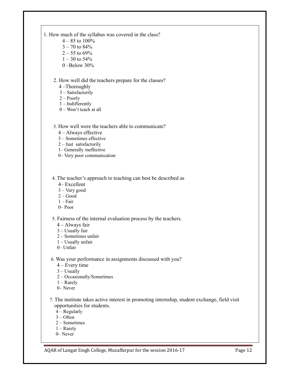- 1. How much of the syllabus was covered in the class?
	- $4 85$  to  $100\%$  $3 - 70$  to  $84%$
	- $2 55$  to 69%
	- $1 30$  to 54%
	- 0 –Below 30%

#### 2. How well did the teachers prepare for the classes?

- 4 –Thoroughly
- 3 Satisfactorily
- 2 Poorly
- 1 Indifferently
- 0 Won't teach at all
- 3. How well were the teachers able to communicate?
	- 4 Always effective
	- 3 Sometimes effective
	- 2 Just satisfactorily
	- 1– Generally ineffective
	- 0– Very poor communication

4. The teacher's approach to teaching can best be described as

- 4– Excellent
- 3 Very good
- $2 Good$
- $1 Fair$
- 0– Poor

#### 5. Fairness of the internal evaluation process by the teachers.

- 4 Always fair
- 3 Usually fair
- 2 Sometimes unfair
- 1 Usually unfair
- 0– Unfair
- 6. Was your performance in assignments discussed with you?
	- 4 Every time
	- $3 -$ Usually
	- 2 Occasionally/Sometimes
	- 1 Rarely
	- 0– Never
- 7. The institute takes active interest in promoting internship, student exchange, field visit opportunities for students.
	- 4 Regularly
	- 3 Often
	- 2 Sometimes
	- 1 Rarely
	- 0– Never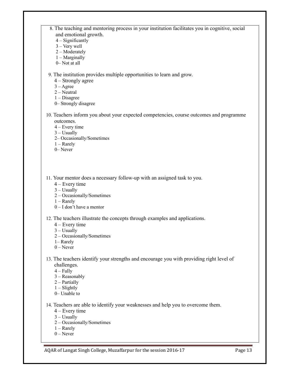- 8. The teaching and mentoring process in your institution facilitates you in cognitive, social and emotional growth.
	- 4 Significantly
	- 3 Very well
	- 2 Moderately
	- 1 Marginally
	- 0– Not at all

9. The institution provides multiple opportunities to learn and grow.

- 4 Strongly agree
- $3 \text{A}$ gree
- $2 -$ Neutral
- 1 Disagree
- 0– Strongly disagree
- 10. Teachers inform you about your expected competencies, course outcomes and programme outcomes.
	- 4 Every time
	- 3 Usually
	- 2– Occasionally/Sometimes
	- 1 Rarely
	- 0– Never

11. Your mentor does a necessary follow-up with an assigned task to you.

- 4 Every time
- $3 -$ Usually
- 2 Occasionally/Sometimes
- 1 Rarely
- $0 I$  don't have a mentor
- 12. The teachers illustrate the concepts through examples and applications.
	- 4 Every time
	- $3$  Usually
	- 2 Occasionally/Sometimes
	- 1– Rarely
	- $0$  Never
- 13. The teachers identify your strengths and encourage you with providing right level of challenges.
	- $4 Fully$
	- 3 Reasonably
	- 2 Partially
	- $1 -$ Slightly
	- 0– Unable to
- 14. Teachers are able to identify your weaknesses and help you to overcome them.
	- 4 Every time
	- 3 Usually
	- 2 Occasionally/Sometimes
	- 1 Rarely
	- $0$  Never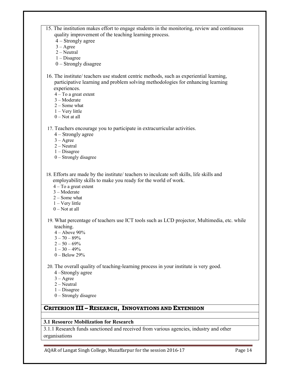- 15. The institution makes effort to engage students in the monitoring, review and continuous quality improvement of the teaching learning process.
	- 4 Strongly agree
	- 3 Agree
	- 2 Neutral
	- 1 Disagree
	- 0 Strongly disagree
- 16. The institute/ teachers use student centric methods, such as experiential learning, participative learning and problem solving methodologies for enhancing learning experiences.
	- $4 To a great extent$
	- 3 Moderate
	- 2 Some what
	- 1 Very little
	- $0$  Not at all
- 17. Teachers encourage you to participate in extracurricular activities.
	- 4 Strongly agree
	- $3 \text{Agree}$
	- $2 -$ Neutral
	- 1 Disagree
	- 0 Strongly disagree
- 18. Efforts are made by the institute/ teachers to inculcate soft skills, life skills and employability skills to make you ready for the world of work.
	- 4 To a great extent
	- 3 Moderate
	- 2 Some what
	- 1 Very little
	- $0$  Not at all
- 19. What percentage of teachers use ICT tools such as LCD projector, Multimedia, etc. while teaching.
	- 4 Above 90%
	- $3 70 89%$
	- $2 50 69%$
	- $1 30 49%$
	- 0 Below 29%

20. The overall quality of teaching-learning process in your institute is very good.

- 4 –Strongly agree
- $3 \text{Agree}$
- 2 Neutral
- 1 Disagree
- 0 Strongly disagree

# **CRITERION III – RESEARCH, INNOVATIONS AND EXTENSION**

#### **3.1 Resource Mobilization for Research**

3.1.1 Research funds sanctioned and received from various agencies, industry and other organisations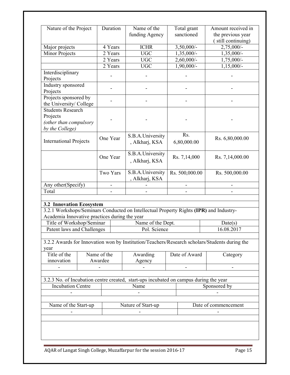| Nature of the Project                                                             |                        | Duration | Name of the<br>funding Agency                                                          | Total grant<br>sanctioned | Amount received in<br>the previous year<br>(still continuing)                                 |  |
|-----------------------------------------------------------------------------------|------------------------|----------|----------------------------------------------------------------------------------------|---------------------------|-----------------------------------------------------------------------------------------------|--|
| Major projects                                                                    |                        | 4 Years  | <b>ICHR</b>                                                                            | $3,50,000/$ -             | $2,75,000/-$                                                                                  |  |
| Minor Projects                                                                    |                        | 2 Years  | <b>UGC</b>                                                                             | $1,35,000/-$              | $1,35,000/-$                                                                                  |  |
|                                                                                   |                        | 2 Years  | UGC                                                                                    | 2,60,000/-                | 1,75,000/-                                                                                    |  |
|                                                                                   |                        | 2 Years  | <b>UGC</b>                                                                             | $1,90,000/-$              | $1,15,000/-$                                                                                  |  |
| Interdisciplinary<br>Projects                                                     |                        |          |                                                                                        |                           |                                                                                               |  |
| Industry sponsored<br>Projects                                                    |                        |          |                                                                                        |                           |                                                                                               |  |
| Projects sponsored by<br>the University/ College                                  |                        |          |                                                                                        |                           |                                                                                               |  |
| <b>Students Research</b><br>Projects<br>(other than compulsory<br>by the College) |                        |          |                                                                                        |                           |                                                                                               |  |
| <b>International Projects</b>                                                     |                        | One Year | S.B.A.University<br>, Alkharj, KSA                                                     | Rs.<br>6,80,000.00        | Rs. 6,80,000.00                                                                               |  |
|                                                                                   | One Year               |          | S.B.A.University<br>, Alkharj, KSA                                                     | Rs. 7,14,000              | Rs. 7,14,000.00                                                                               |  |
|                                                                                   |                        | Two Yars | S.B.A.University<br>, Alkharj, KSA                                                     | Rs. 500,000.00            | Rs. 500,000.00                                                                                |  |
| Any other(Specify)                                                                |                        |          |                                                                                        |                           |                                                                                               |  |
| Total                                                                             |                        |          |                                                                                        |                           |                                                                                               |  |
|                                                                                   |                        |          |                                                                                        |                           |                                                                                               |  |
| <b>3.2 Innovation Ecosystem</b>                                                   |                        |          |                                                                                        |                           |                                                                                               |  |
|                                                                                   |                        |          | 3.2.1 Workshops/Seminars Conducted on Intellectual Property Rights (IPR) and Industry- |                           |                                                                                               |  |
| Academia Innovative practices during the year                                     |                        |          |                                                                                        |                           |                                                                                               |  |
| Title of Workshop/Seminar                                                         |                        |          | Name of the Dept.                                                                      |                           | Date(s)                                                                                       |  |
| Patent laws and Challenges                                                        |                        |          | Pol. Science                                                                           |                           | 16.08.2017                                                                                    |  |
| year                                                                              |                        |          |                                                                                        |                           | 3.2.2 Awards for Innovation won by Institution/Teachers/Research scholars/Students during the |  |
| Title of the<br>innovation                                                        | Name of the<br>Awardee |          | Awarding<br>Agency                                                                     | Date of Award             | Category                                                                                      |  |
|                                                                                   |                        |          | 3.2.3 No. of Incubation centre created, start-ups incubated on campus during the year  |                           |                                                                                               |  |
| <b>Incubation Centre</b>                                                          |                        |          | Name                                                                                   |                           | Sponsored by                                                                                  |  |
|                                                                                   |                        |          |                                                                                        |                           |                                                                                               |  |
|                                                                                   |                        |          |                                                                                        |                           |                                                                                               |  |
| Name of the Start-up<br>Nature of Start-up<br>Date of commencement                |                        |          |                                                                                        |                           |                                                                                               |  |
|                                                                                   |                        |          |                                                                                        |                           |                                                                                               |  |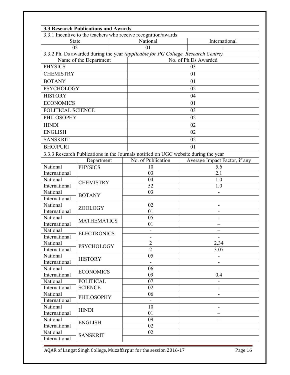|                   | <b>3.3 Research Publications and Awards</b> |                                                                                     |                               |  |  |  |
|-------------------|---------------------------------------------|-------------------------------------------------------------------------------------|-------------------------------|--|--|--|
|                   |                                             | 3.3.1 Incentive to the teachers who receive recognition/awards                      |                               |  |  |  |
| <b>State</b>      |                                             | National                                                                            | International                 |  |  |  |
| 02                |                                             | 01                                                                                  |                               |  |  |  |
|                   |                                             | 3.3.2 Ph. Ds awarded during the year (applicable for PG College, Research Centre)   |                               |  |  |  |
|                   | Name of the Department                      | No. of Ph.Ds Awarded                                                                |                               |  |  |  |
| <b>PHYSICS</b>    |                                             |                                                                                     | 03                            |  |  |  |
| <b>CHEMISTRY</b>  |                                             |                                                                                     | 01                            |  |  |  |
| <b>BOTANY</b>     |                                             |                                                                                     | 01                            |  |  |  |
| <b>PSYCHOLOGY</b> |                                             |                                                                                     | 02                            |  |  |  |
| <b>HISTORY</b>    |                                             |                                                                                     | 04                            |  |  |  |
| <b>ECONOMICS</b>  |                                             |                                                                                     | 01                            |  |  |  |
| POLITICAL SCIENCE |                                             |                                                                                     | 03                            |  |  |  |
| PHILOSOPHY        |                                             |                                                                                     | 02                            |  |  |  |
| <b>HINDI</b>      |                                             |                                                                                     | 02                            |  |  |  |
| <b>ENGLISH</b>    |                                             |                                                                                     | 02                            |  |  |  |
| <b>SANSKRIT</b>   |                                             |                                                                                     | 02                            |  |  |  |
| <b>BHOJPURI</b>   |                                             |                                                                                     | 01                            |  |  |  |
|                   |                                             | 3.3.3 Research Publications in the Journals notified on UGC website during the year |                               |  |  |  |
|                   | Department                                  | No. of Publication                                                                  | Average Impact Factor, if any |  |  |  |
| National          | <b>PHYSICS</b>                              | 10                                                                                  | 5.6                           |  |  |  |
| International     |                                             | 03                                                                                  | 2.1                           |  |  |  |
| National          |                                             | 04                                                                                  | 1.0                           |  |  |  |
| International     | <b>CHEMISTRY</b>                            | 52                                                                                  | 1.0                           |  |  |  |
| National          |                                             | $\overline{03}$                                                                     |                               |  |  |  |
| International     | <b>BOTANY</b>                               | $\blacksquare$                                                                      |                               |  |  |  |
| National          |                                             | 02                                                                                  |                               |  |  |  |
| International     | ZOOLOGY                                     | 01                                                                                  |                               |  |  |  |
| National          |                                             | $\overline{05}$                                                                     |                               |  |  |  |
| International     | <b>MATHEMATICS</b>                          | 01                                                                                  |                               |  |  |  |
| National          |                                             |                                                                                     |                               |  |  |  |
| International     | <b>ELECTRONICS</b>                          | $\overline{\phantom{a}}$                                                            |                               |  |  |  |
| National          | <b>PSYCHOLOGY</b>                           | $\overline{2}$                                                                      | 2.34                          |  |  |  |
| International     |                                             | $\overline{2}$                                                                      | 3.07                          |  |  |  |
| National          |                                             | 05                                                                                  |                               |  |  |  |
| International     | <b>HISTORY</b>                              |                                                                                     |                               |  |  |  |
| National          | <b>ECONOMICS</b>                            | 06                                                                                  |                               |  |  |  |
| International     |                                             | 09                                                                                  | 0.4                           |  |  |  |
| National          | <b>POLITICAL</b>                            | 07                                                                                  |                               |  |  |  |
| International     | <b>SCIENCE</b>                              | 02                                                                                  |                               |  |  |  |
| National          | <b>PHILOSOPHY</b>                           | 06                                                                                  |                               |  |  |  |
| International     |                                             |                                                                                     |                               |  |  |  |
| National          | <b>HINDI</b>                                | 10                                                                                  |                               |  |  |  |
| International     |                                             | 01                                                                                  |                               |  |  |  |
| National          | <b>ENGLISH</b>                              | 09                                                                                  |                               |  |  |  |
| International     |                                             | 02                                                                                  |                               |  |  |  |
| National          | <b>SANSKRIT</b>                             | 02                                                                                  |                               |  |  |  |
| International     |                                             |                                                                                     |                               |  |  |  |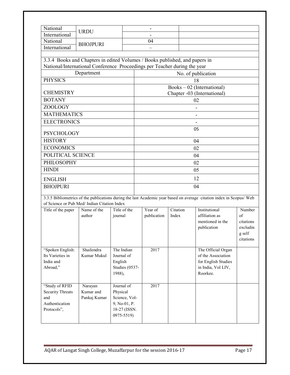| National                                                                    | <b>URDU</b>                                          |                          |                                                                                                                     |             |                    |                                          |                                       |  |
|-----------------------------------------------------------------------------|------------------------------------------------------|--------------------------|---------------------------------------------------------------------------------------------------------------------|-------------|--------------------|------------------------------------------|---------------------------------------|--|
| International                                                               |                                                      |                          |                                                                                                                     |             |                    |                                          |                                       |  |
| National<br>International                                                   | <b>BHOJPURI</b>                                      |                          |                                                                                                                     | 04          |                    |                                          |                                       |  |
|                                                                             |                                                      |                          |                                                                                                                     |             |                    |                                          |                                       |  |
| 3.3.4 Books and Chapters in edited Volumes / Books published, and papers in |                                                      |                          |                                                                                                                     |             |                    |                                          |                                       |  |
|                                                                             |                                                      |                          |                                                                                                                     |             |                    |                                          |                                       |  |
| Department                                                                  |                                                      |                          | National/International Conference Proceedings per Teacher during the year<br>No. of publication                     |             |                    |                                          |                                       |  |
| <b>PHYSICS</b>                                                              |                                                      |                          |                                                                                                                     |             |                    | 18                                       |                                       |  |
|                                                                             |                                                      |                          |                                                                                                                     |             |                    | $Books - 02$ (International)             |                                       |  |
| <b>CHEMISTRY</b>                                                            |                                                      |                          |                                                                                                                     |             |                    | Chapter -03 (International)              |                                       |  |
| <b>BOTANY</b>                                                               |                                                      |                          |                                                                                                                     |             |                    | 02                                       |                                       |  |
| <b>ZOOLOGY</b>                                                              |                                                      |                          |                                                                                                                     |             |                    |                                          |                                       |  |
| <b>MATHEMATICS</b>                                                          |                                                      |                          |                                                                                                                     |             |                    |                                          |                                       |  |
| <b>ELECTRONICS</b>                                                          |                                                      |                          |                                                                                                                     |             |                    |                                          |                                       |  |
|                                                                             |                                                      |                          |                                                                                                                     |             |                    | 05                                       |                                       |  |
| <b>PSYCHOLOGY</b>                                                           |                                                      |                          |                                                                                                                     |             |                    |                                          |                                       |  |
| <b>HISTORY</b>                                                              |                                                      |                          |                                                                                                                     |             |                    | 04                                       |                                       |  |
| <b>ECONOMICS</b>                                                            |                                                      |                          | 02                                                                                                                  |             |                    |                                          |                                       |  |
| POLITICAL SCIENCE                                                           |                                                      |                          | 04                                                                                                                  |             |                    |                                          |                                       |  |
| <b>PHILOSOPHY</b>                                                           |                                                      |                          | 02                                                                                                                  |             |                    |                                          |                                       |  |
| <b>HINDI</b>                                                                |                                                      |                          | 05                                                                                                                  |             |                    |                                          |                                       |  |
| <b>ENGLISH</b>                                                              |                                                      |                          | 12                                                                                                                  |             |                    |                                          |                                       |  |
| <b>BHOJPURI</b>                                                             |                                                      |                          | 04                                                                                                                  |             |                    |                                          |                                       |  |
|                                                                             |                                                      |                          | 3.3.5 Bibliometrics of the publications during the last Academic year based on average citation index in Scopus/Web |             |                    |                                          |                                       |  |
| of Science or Pub Med/ Indian Citation Index                                |                                                      |                          |                                                                                                                     |             |                    |                                          |                                       |  |
| Title of the paper                                                          | Name of the                                          | Title of the             |                                                                                                                     | Year of     | Citation           | Institutional                            | Number                                |  |
|                                                                             | author                                               | journal                  |                                                                                                                     | publication | Index              | affiliation as<br>mentioned in the       | of                                    |  |
|                                                                             |                                                      |                          |                                                                                                                     |             |                    | publication                              | citations<br>excludin                 |  |
|                                                                             |                                                      |                          |                                                                                                                     |             |                    |                                          | $\ensuremath{\mathsf{g}}\xspace$ self |  |
|                                                                             |                                                      |                          |                                                                                                                     |             |                    |                                          | citations                             |  |
|                                                                             |                                                      |                          |                                                                                                                     |             |                    |                                          |                                       |  |
| "Spoken English:<br>Its Varieties in                                        | Shailendra<br>Kumar Mukul                            | The Indian<br>Journal of |                                                                                                                     | 2017        |                    | The Official Organ<br>of the Association |                                       |  |
| India and                                                                   |                                                      | English                  |                                                                                                                     |             |                    | for English Studies                      |                                       |  |
| Abroad,"<br>Studies (0537-                                                  |                                                      |                          |                                                                                                                     |             | in India, Vol LIV, |                                          |                                       |  |
| 1988),                                                                      |                                                      |                          |                                                                                                                     |             | Roorkee.           |                                          |                                       |  |
|                                                                             |                                                      |                          |                                                                                                                     |             |                    |                                          |                                       |  |
| "Study of RFID<br>Journal of<br>Narayan                                     |                                                      |                          |                                                                                                                     | 2017        |                    |                                          |                                       |  |
| <b>Security Threats</b><br>Kumar and<br>Physical                            |                                                      |                          |                                                                                                                     |             |                    |                                          |                                       |  |
| Authentication                                                              | Science, Vol-<br>and<br>Pankaj Kumar<br>9, No-01, P. |                          |                                                                                                                     |             |                    |                                          |                                       |  |
| Protocols",                                                                 |                                                      | 18-27 (ISSN.             |                                                                                                                     |             |                    |                                          |                                       |  |
|                                                                             |                                                      | 0975-5519)               |                                                                                                                     |             |                    |                                          |                                       |  |
|                                                                             |                                                      |                          |                                                                                                                     |             |                    |                                          |                                       |  |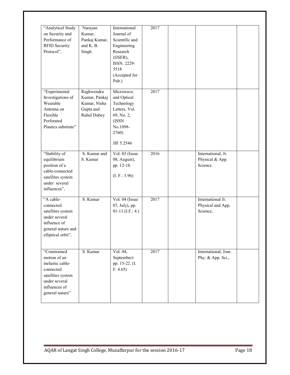| "Analytical Study<br>on Security and<br>Performance of<br><b>RFID Security</b><br>Protocol",                                            | Narayan<br>Kumar,<br>Pankaj Kumar,<br>and K. B.<br>Singh                | International<br>Journal of<br>Scientific and<br>Engineering<br>Research<br>(IJSER),<br>ISSN. 2229-<br>5518<br>(Accepted for<br>Pub.) | 2017 |                                                    |  |
|-----------------------------------------------------------------------------------------------------------------------------------------|-------------------------------------------------------------------------|---------------------------------------------------------------------------------------------------------------------------------------|------|----------------------------------------------------|--|
| "Experimental<br>Investigations of<br>Wearable<br>Antenna on<br>Flexible<br>Perforated<br>Plastics substrate"                           | Raghwendra<br>Kumar, Pankaj<br>Kumar, Nisha<br>Gupta and<br>Rahul Dubey | Microwave<br>and Optical<br>Technology<br>Letters, Vol.<br>69, No. 2,<br>(ISSN<br>No.1098-<br>2760)<br>JIF 5.2546                     | 2017 |                                                    |  |
| "Stability of<br>equilibrium<br>position of a<br>cable-connected<br>satellites system<br>under several<br>influences",                  | S. Kumar and<br>S. Kumar                                                | Vol. 03 (Issue<br>08, August),<br>pp. 12-18.<br>(L F.: 3.96)                                                                          | 2016 | International, Jr.<br>Physical & App.<br>Science   |  |
| "A cable-<br>connected<br>satellites system<br>under several<br>influence of<br>general nature and<br>elliptical orbit",                | S. Kumar                                                                | Vol. 04 (Issue<br>07, July), pp.<br>$01-11.(I.F.: 4.)$                                                                                | 2017 | International Jr.<br>Physical and App.<br>Science, |  |
| "Constrained<br>motion of an<br>inelastic cable-<br>connected<br>satellites system<br>under several<br>influences of<br>general nature" | S. Kumar                                                                | Vol. 04,<br>September)<br>pp. 15-22. (I.<br>F. 4.65                                                                                   | 2017 | International, Jour.<br>Phy. & App. Sci.,          |  |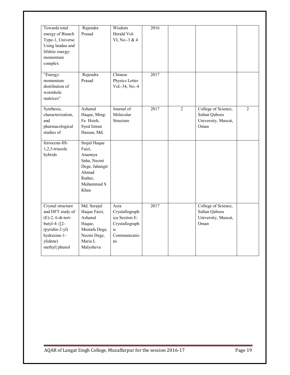| Towards total<br>energy of Bianch<br>Type-1, Universe<br>Using landau and<br>lifshitz energy-<br>momentum<br>complex<br>"Energy-               | Rajendra<br>Prasad<br>Rajendra                                                                               | Wisdom<br>Herald Vol-<br>VI, No.-3 & 4<br>Chinese                                               | 2016<br>2017 |                |                                                                     |                |
|------------------------------------------------------------------------------------------------------------------------------------------------|--------------------------------------------------------------------------------------------------------------|-------------------------------------------------------------------------------------------------|--------------|----------------|---------------------------------------------------------------------|----------------|
| momentum<br>distribution of<br>wormhole<br>matrices"                                                                                           | Prasad                                                                                                       | Physics Letter<br>Vol.-34, No.-4                                                                |              |                |                                                                     |                |
| Synthesis,<br>characterization,<br>and<br>pharmacological<br>studies of                                                                        | Ashanul<br>Haque, Ming-<br>Fa Hsieh,<br>Syed Imran<br>Hassan, Md.                                            | Journal of<br>Molecular<br>Structure                                                            | 2017         | $\overline{2}$ | College of Science,<br>Sultan Qaboos<br>University, Muscat,<br>Oman | $\overline{2}$ |
| ferrocene-IH-<br>1,2,3-triazole<br>hybrids                                                                                                     | Srajul Haque<br>Faizi,<br>Anannya<br>Saha, Necmi<br>Dege, Jahangir<br>Ahmad<br>Rather,<br>Muhammad S<br>Khan |                                                                                                 |              |                |                                                                     |                |
| Crystal structure<br>and DFT study of<br>$(E)$ -2, 6-di-tert-<br>butyl-4-{[2-<br>$(pyridin-2-yl)$<br>hydrazine-1-<br>ylidene)<br>methyl}phenol | Md. Serajul<br>Haque Faizi,<br>Ashanul<br>Haque,<br>Mustafa Dege,<br>Necmi Dege,<br>Maria L<br>Malysheva     | Acta<br>Crystallograph<br>ica Section E:<br>Crystallograph<br>$i_{\rm c}$<br>Communicatio<br>ns | 2017         |                | College of Science,<br>Sultan Qaboos<br>University, Muscat,<br>Oman |                |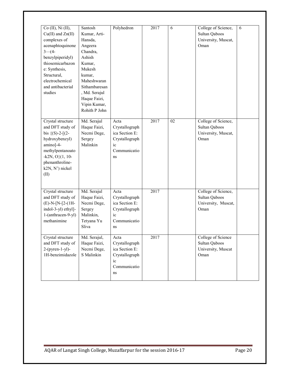| Co (II), Ni (II),<br>$Cu(II)$ and $Zn(II)$<br>complexes of<br>acenaphtoquinone<br>$3-(4-$<br>benzylpiperidyl)<br>thiosemicarbazon<br>e: Synthesis,<br>Structural,<br>electrochemical<br>and antibacterial<br>studies | Santosh<br>Kumar, Arti-<br>Hansda,<br>Angeera<br>Chandra,<br>Ashish<br>Kumar,<br>Mukesh<br>kumar,<br>Maheshwaran<br>Sithambaresan<br>, Md. Serajul<br>Haque Faizi,<br>Vipin Kumar,<br>Rohith P John | Polyhedron                                                                             | 2017 | 6               | College of Science,<br>Sultan Qaboos<br>University, Muscat,<br>Oman | 6 |
|----------------------------------------------------------------------------------------------------------------------------------------------------------------------------------------------------------------------|-----------------------------------------------------------------------------------------------------------------------------------------------------------------------------------------------------|----------------------------------------------------------------------------------------|------|-----------------|---------------------------------------------------------------------|---|
| Crystal structure<br>and DFT study of<br>bis $\{(S)-2-[2-$<br>hydroxybenzyl)<br>amino]-4-<br>methylpentanoato<br>$-k2N, O$ { $(1, 10-$<br>phenanthroline-<br>k2N, N') nickel<br>(II)                                 | Md. Serajul<br>Haque Faizi,<br>Necmi Dege,<br>Sergey<br>Malinkin                                                                                                                                    | Acta<br>Crystallograph<br>ica Section E:<br>Crystallograph<br>ic<br>Communicatio<br>ns | 2017 | $\overline{02}$ | College of Science,<br>Sultan Qaboos<br>University, Muscat,<br>Oman |   |
| Crystal structure<br>and DFT study of<br>$(E)$ -N-[N-[2-(1H-<br>indol-3-yl) ethyl]-<br>1-(anthracen-9-yl)<br>methanimine                                                                                             | Md. Serajul<br>Haque Faizi,<br>Necmi Dege,<br>Sergey<br>Malinkin,<br>Tetyana Yu<br>Sliva                                                                                                            | Acta<br>Crystallograph<br>ica Section E:<br>Crystallograph<br>ic<br>Communicatio<br>ns | 2017 |                 | College of Science,<br>Sultan Qaboos<br>University, Muscat,<br>Oman |   |
| Crystal structure<br>and DFT study of<br>$2-(pyren-1-yl)$ -<br>1H-benzimidazole                                                                                                                                      | Md. Serajul,<br>Haque Faizi,<br>Necmi Dege,<br>S Malinkin                                                                                                                                           | Acta<br>Crystallograph<br>ica Section E:<br>Crystallograph<br>ic<br>Communicatio<br>ns | 2017 |                 | College of Science<br>Sultan Qaboos<br>University, Muscat<br>Oman   |   |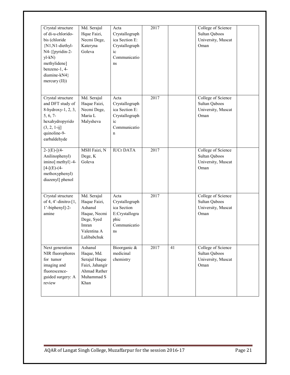| Crystal structure<br>of di-u-chlorido-<br>bis (chloride<br>{N1, N1-diethyl-                                                                                                                                                                                                                                                                                                                                                                                                                                | Md. Serajul<br>Hque Faizi,<br>Necmi Dege,<br>Kateryna                                                       | Acta<br>Crystallograph<br>ica Section E:<br>Crystallograph                            | 2017 |                 | College of Science<br>Sultan Qaboos<br>University, Muscat<br>Oman |  |
|------------------------------------------------------------------------------------------------------------------------------------------------------------------------------------------------------------------------------------------------------------------------------------------------------------------------------------------------------------------------------------------------------------------------------------------------------------------------------------------------------------|-------------------------------------------------------------------------------------------------------------|---------------------------------------------------------------------------------------|------|-----------------|-------------------------------------------------------------------|--|
| N4-{[pyridin-2-<br>$yl-kN)$<br>methylidene]<br>benzene-1, 4-<br>diamine-kN4}<br>$\text{mercury (II)}$                                                                                                                                                                                                                                                                                                                                                                                                      | Goleva                                                                                                      | ic<br>Communicatio<br>ns                                                              |      |                 |                                                                   |  |
| Crystal structure<br>and DFT study of<br>8-hydroxy-1, 2, 3,<br>5, 6, 7<br>hexahydropyrido<br>$(3, 2, 1-ij]$<br>quinoline-9-<br>earbaldehyde                                                                                                                                                                                                                                                                                                                                                                | Md. Serajul<br>Haque Faizi,<br>Necmi Dege,<br>Maria L<br>Malysheva                                          | Acta<br>Crystallograph<br>ica Section E:<br>Crystallograph<br>ic<br>Communicatio<br>n | 2017 |                 | College of Science<br>Sultan Qaboos<br>University, Muscat<br>Oman |  |
| $2-\{(\text{E})-[4-\text{E}(\text{E})-1+\text{E}(\text{E}(\text{E}+\text{E}(\text{E}+\text{E}(\text{E}+\text{E}(\text{E}+\text{E}(\text{E}+\text{E}(\text{E}+\text{E}(\text{E}+\text{E})))\text{E}(\text{E}+\text{E}(\text{E}+\text{E}(\text{E}+\text{E}(\text{E}+\text{E})))\text{E}(\text{E}+\text{E}(\text{E}+\text{E}(\text{E}+\text{E}+\text{E}(\text{E}+\text{E})))\text{E}(\text{E}+\text{E}(\text{E}$<br>Anilinophenyl)<br>imino] methyl}-4-<br>$[4-[E)-(4-$<br>methoxyphenyl)<br>diazenyl] phenol | MSH Faizi, N<br>Dege, K<br>Goleva                                                                           | <b>IUCrDATA</b>                                                                       | 2017 |                 | College of Science<br>Sultan Qaboos<br>University, Muscat<br>Oman |  |
| Crystal structure<br>of 4, 4'-dinitro- $[1,$<br>1'-biphenyl]-2-<br>amine                                                                                                                                                                                                                                                                                                                                                                                                                                   | Md. Serajul<br>Haque Faizi,<br>Ashanul<br>Haque, Necmi<br>Dege, Syed<br>Imran<br>Valentina A<br>Lalibabchuk | Acta<br>Crystallograph<br>ica Section<br>E:Crystallogra<br>phic<br>Communicatio<br>ns | 2017 |                 | College of Science<br>Sultan Qaboos<br>University, Muscat<br>Oman |  |
| Next generation<br>NIR fluorophores<br>for tumor<br>imaging and<br>fluorescence-<br>guided surgery: A<br>review                                                                                                                                                                                                                                                                                                                                                                                            | Ashanul<br>Haque, Md.<br>Serajul Haque<br>Faizi, Jahangir<br>Ahmad Rather<br>Muhammad S<br>Khan             | Bioorganic &<br>medicinal<br>chemistry                                                | 2017 | $\overline{41}$ | College of Science<br>Sultan Qaboos<br>University, Muscat<br>Oman |  |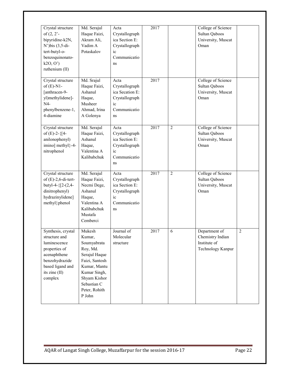| Crystal structure<br>of $(2, 2)$ <sup>-</sup><br>bipyridine-k2N,<br>$N'$ ) bis $(3, 5$ -di-<br>tert-butyl-o-<br>benzoquinonato-<br>k20, 0'<br>ruthenium (II) | Md. Serajul<br>Haque Faizi,<br>Akram Ali,<br>Vadim A<br>Potaskalov                                                                                                       | Acta<br>Crystallograph<br>ica Section E:<br>Crystallograph<br>ic<br>Communicatio<br>ns  | 2017 |                | College of Science<br>Sultan Qaboos<br>University, Muscat<br>Oman      |                |
|--------------------------------------------------------------------------------------------------------------------------------------------------------------|--------------------------------------------------------------------------------------------------------------------------------------------------------------------------|-----------------------------------------------------------------------------------------|------|----------------|------------------------------------------------------------------------|----------------|
| Crystal structure<br>of $(E)$ -N1-<br>[anthracen-9-<br>yl)methylidene]-<br>N4-<br>phenylbenzene-1,<br>4-diamine                                              | Md. Srajul<br>Haque Faizi,<br>Ashanul<br>Haque,<br>Musheer<br>Ahmad, Irina<br>A Golenya                                                                                  | Acta<br>Crystallograph<br>ica Secation E:<br>Crystallograph<br>ic<br>Communicatio<br>ns | 2017 |                | College of Science<br>Sultan Qaboos<br>University, Muscat<br>Oman      |                |
| Crystal structure<br>of $(E)$ -2- $\{[4-$<br>anilonophenyl)<br>imino] methyl}-4-<br>nitrophenol                                                              | Md. Serajul<br>Haque Faizi,<br>Ashanul<br>Haque,<br>Valentina A<br>Kalibabchuk                                                                                           | Acta<br>Crystallograph<br>ica Section E:<br>Crystallograph<br>ic<br>Communicatio<br>ns  | 2017 | $\overline{2}$ | College of Science<br>Sultan Qaboos<br>University, Muscat<br>Oman      |                |
| Crystal structure<br>of $(E)$ -2,6-di-tert-<br>butyl-4- ${2-(2,4-$<br>dinitrophenyl)<br>hydrazinylidene]<br>methyl}phenol                                    | Md. Serajul<br>Haque Faizi,<br>Necmi Dege,<br>Ashanul<br>Haque,<br>Valentina A<br>Kalibabchuk<br>Mustafa<br>Cemberci                                                     | Acta<br>Crystallograph<br>ica Section E:<br>Crystallograph<br>ic<br>Communicatio<br>ns  | 2017 | $\overline{2}$ | College of Science<br>Sultan Qaboos<br>University, Muscat<br>Oman      |                |
| Synthesis, crystal<br>structure and<br>luminescence<br>properties of<br>acenaphthene<br>benzohydrazide<br>based ligand and<br>its zine (II)<br>complex       | Mukesh<br>Kumar,<br>Soumyabrata<br>Roy, Md.<br>Serajul Haque<br>Faizi, Santosh<br>Kumar, Mantu<br>Kumar Singh,<br>Shyam Kishor<br>Sebastian C<br>Peter, Rohith<br>P John | Journal of<br>Molecular<br>structure                                                    | 2017 | 6              | Department of<br>Chemistry Indian<br>Institute of<br>Technology Kanpur | $\overline{2}$ |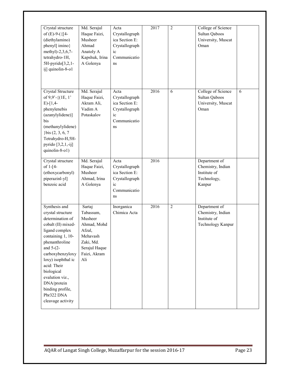| Crystal structure<br>of $(E)$ -9- $(\{[4-$<br>(diethylamino)<br>phenyl] imino}<br>methyl)-2,3,6,7-<br>tetrahydro-1H,<br>5H-pyrido[3,2,1-<br>ij] quinolin-8-o1                                                                                                                                                         | Md. Serajul<br>Haque Faizi,<br>Musheer<br>Ahmad<br>Anatoly A<br>Kapshuk, Irina<br>A Golenya                              | Acta<br>Crystallograph<br>ica Section E:<br>Crystallograph<br>ic<br>Communicatio<br>ns | 2017 | $\overline{2}$ | College of Science<br>Sultan Qaboos<br>University, Muscat<br>Oman           |   |
|-----------------------------------------------------------------------------------------------------------------------------------------------------------------------------------------------------------------------------------------------------------------------------------------------------------------------|--------------------------------------------------------------------------------------------------------------------------|----------------------------------------------------------------------------------------|------|----------------|-----------------------------------------------------------------------------|---|
| Crystal Structure<br>of $9,9'$ -{ $(1E, 1'$<br>$E$ -[1,4-<br>phenylenebis<br>(azanylylidene)]<br>bis<br>(methanylylidene)<br>} $bis (2, 3, 6, 7)$<br>Tetrahydro-H,5H-<br>pyrido $[3,2,1,-ij]$<br>quinolin-8-o1)                                                                                                       | Md. Serajul<br>Haque Faizi,<br>Akram Ali,<br>Vadim A<br>Potaskalov                                                       | Acta<br>Crystallograph<br>ica Section E:<br>Crystallograph<br>ic<br>Communicatio<br>ns | 2016 | 6              | College of Science<br>Sultan Qaboos<br>University, Muscat<br>Oman           | 6 |
| Crystal structure<br>of $1 - 4$<br>(ethoxycarbonyl)<br>piperazinl-yl]<br>benzoic acid                                                                                                                                                                                                                                 | Md. Serajul<br>Haque Faizi,<br>Musheer<br>Ahmad, Irina<br>A Golenya                                                      | Acta<br>Crystallograph<br>ica Section E:<br>Crystallograph<br>ic<br>Communicatio<br>ns | 2016 |                | Department of<br>Chemistry, Indian<br>Institute of<br>Technology,<br>Kanpur |   |
| Synthesis and<br>crystal structure<br>determination of<br>cobalt (II) mixed-<br>ligand complex<br>containing 1, 10-<br>phenanthroline<br>and $5-(2-)$<br>carboxybenzyloxy<br>loxy) isophthal ic<br>acid: Their<br>biological<br>evalution viz.,<br>DNA/protein<br>binding profile,<br>Pbr322 DNA<br>cleavage activity | Sartaj<br>Tabassum,<br>Musheer<br>Ahmad, Mohd<br>Afzal,<br>Mehavash<br>Zaki, Md.<br>Serajul Haque<br>Faizi, Akram<br>Ali | Inorganica<br>Chimica Acta                                                             | 2016 | $\overline{2}$ | Department of<br>Chemistry, Indian<br>Institute of<br>Technology Kanpur     |   |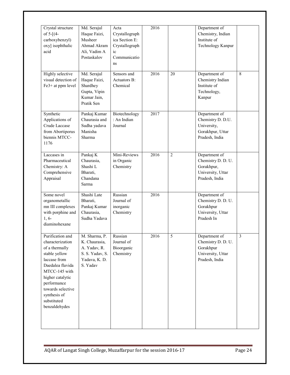| Crystal structure<br>of $5-[4-$<br>carboxybenzyl)<br>oxy] isophthalic<br>acid                                                                                                                                                        | Md. Serajul<br>Haque Faizi,<br>Musheer<br>Ahmad Akram<br>Ali, Vadim A<br>Postaskalov           | Acta<br>Crystallograph<br>ica Section E:<br>Crystallograph<br>ic<br>Communicatio<br>ns | 2016 |                | Department of<br>Chemistry, Indian<br>Institute of<br>Technology Kanpur                  |                |
|--------------------------------------------------------------------------------------------------------------------------------------------------------------------------------------------------------------------------------------|------------------------------------------------------------------------------------------------|----------------------------------------------------------------------------------------|------|----------------|------------------------------------------------------------------------------------------|----------------|
| <b>Highly</b> selective<br>visual detection of<br>Fe3+ at ppm level                                                                                                                                                                  | Md. Serajul<br>Haque Faizi,<br>Shardhey<br>Gupta, Vipin<br>Kumar Jain,<br>Pratik Sen           | Sensors and<br>Actuators B:<br>Chemical                                                | 2016 | 20             | Department of<br>Chemistry Indian<br>Institute of<br>Technology,<br>Kanpur               | 8              |
| Synthetic<br>Applications of<br>Crude Laccase<br>from Abortiporus<br>biennis MTCC-<br>1176                                                                                                                                           | Pankaj Kumar<br>Chaurasia and<br>Sudha yadava<br>Manisha<br>Sharma                             | Biotechnology<br>: An Indian<br>Journal                                                | 2017 |                | Department of<br>Chemistry D. D.U.<br>University,<br>Gorakhpur, Uttar<br>Pradesh, India  |                |
| Laccases in<br>Pharmaceutical<br>Chemistry: A<br>Comprehensive<br>Appraisal                                                                                                                                                          | Pankaj K<br>Chaurasia,<br>Shashi L<br>Bharati,<br>Chandana<br>Sarma                            | Mini-Reviews<br>in Organic<br>Chemistry                                                | 2016 | $\overline{2}$ | Department of<br>Chemistry D. D. U.<br>Gorakhpur,<br>University, Uttar<br>Pradesh, India |                |
| Some novel<br>organometallic<br>mn III complexes<br>with porphine and<br>$1, 6-$<br>diaminohexane                                                                                                                                    | Shashi Late<br>Bharati,<br>Pankaj Kumar<br>Chaurasia,<br>Sudha Yadava                          | Russian<br>Journal of<br>inorganic<br>Chemistry                                        | 2016 |                | Department of<br>Chemistry D. D. U.<br>Gorakhpur<br>University, Uttar<br>Pradesh In      |                |
| Purification and<br>characterization<br>of a thermally<br>stable yellow<br>laccase from<br>Daedalea flavida<br>MTCC-145 with<br>higher catalytic<br>performance<br>towards selective<br>synthesis of<br>substituted<br>benzaldehydes | M. Sharma, P.<br>K. Chaurasia,<br>A. Yadav, R.<br>S. S. Yadav, S.<br>Yadava, K. D.<br>S. Yadav | Russian<br>Journal of<br>Bioorganic<br>Chemistry                                       | 2016 | 5              | Department of<br>Chemistry D. D. U.<br>Gorakhpur<br>University, Uttar<br>Pradesh, India  | $\overline{3}$ |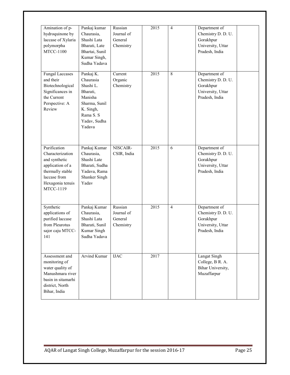| Amination of p-<br>hydroquinone by<br>laccase of Xylaria<br>polymorpha<br><b>MTCC-1100</b>                                                        | Pankaj kumar<br>Chaurasia,<br>Shashi Lata<br>Bharati, Late<br>Bhartai, Sunil<br>Kumar Singh,<br>Sudha Yadava                    | Russian<br>Journal of<br>General<br>Chemistry | 2015 | $\overline{4}$ | Department of<br>Chemistry D. D. U.<br>Gorakhpur<br>University, Uttar<br>Pradesh, India |
|---------------------------------------------------------------------------------------------------------------------------------------------------|---------------------------------------------------------------------------------------------------------------------------------|-----------------------------------------------|------|----------------|-----------------------------------------------------------------------------------------|
| <b>Fungal Laccases</b><br>and their<br>Biotechnological<br>Significances in<br>the Current<br>Perspective: A<br>Review                            | Pankaj K.<br>Chaurasia<br>Shashi L.<br>Bharati,<br>Manisha<br>Sharma, Sunil<br>K. Singh,<br>Rama S. S<br>Yadav, Sudha<br>Yadava | Current<br>Organic<br>Chemistry               | 2015 | 8              | Department of<br>Chemistry D. D. U.<br>Gorakhpur<br>University, Uttar<br>Pradesh, India |
| Purification<br>Characterization<br>and synthetic<br>application of a<br>thermally stable<br>laccase from<br>Hexagonia tenuis<br><b>MTCC-1119</b> | Pankaj Kumar<br>Chaurasia,<br>Shashi Late<br>Bharati, Sudha<br>Yadava, Rama<br>Shanker Singh<br>Yadav                           | NISCAIR-<br>CSIR, India                       | 2015 | 6              | Department of<br>Chemistry D. D. U.<br>Gorakhpur<br>University, Uttar<br>Pradesh, India |
| Synthetic<br>applications of<br>purified laccase<br>from Pleurotus<br>sajor caju MTCC-<br>141                                                     | Pankaj Kumar<br>Chaurasia,<br>Shashi Lata<br>Bharati, Sunil<br>Kumar Singh<br>Sudha Yadava                                      | Russian<br>Journal of<br>General<br>Chemistry | 2015 | $\overline{4}$ | Department of<br>Chemistry D. D. U.<br>Gorakhpur<br>University, Uttar<br>Pradesh, India |
| Assessment and<br>monitoring of<br>water quality of<br>Manushmara river<br>basin in sitamarhi<br>district, North<br>Bihar, India                  | Arvind Kumar                                                                                                                    | <b>IJAC</b>                                   | 2017 |                | Langat Singh<br>College, B R. A.<br>Bihar University,<br>Muzaffarpur                    |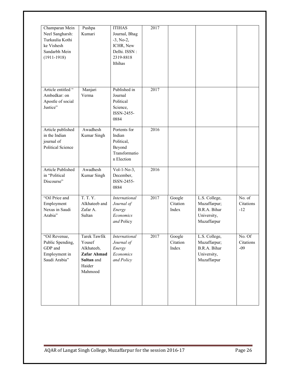| Champaran Mein<br>Neel Sangharsh:<br>Turkaulia Kothi<br>ke Vishesh<br>Sandarbh Mein<br>$(1911-1918)$ | Pushpa<br>Kumari                                                                       | <b>ITIHAS</b><br>Journal, Bhag<br>$-3$ , No-2,<br>ICHR, New<br>Delhi. ISSN:<br>2319-8818<br>Ithihas | 2017 |                             |                                                                             |                              |
|------------------------------------------------------------------------------------------------------|----------------------------------------------------------------------------------------|-----------------------------------------------------------------------------------------------------|------|-----------------------------|-----------------------------------------------------------------------------|------------------------------|
| Article entitled "<br>Ambedkar: on<br>Apostle of social<br>Justice"                                  | Manjari<br>Verma                                                                       | Published in<br>Journal<br>Political<br>Science,<br>ISSN-2455-<br>0884                              | 2017 |                             |                                                                             |                              |
| Article published<br>in the Indian<br>journal of<br><b>Political Science</b>                         | Awadhesh<br>Kumar Singh                                                                | Portents for<br>Indian<br>Political,<br>Beyond<br>Transformatio<br>n Election                       | 2016 |                             |                                                                             |                              |
| Article Published<br>in "Political<br>Discourse"                                                     | Awadhesh<br>Kumar Singh                                                                | Vol-1-No-3,<br>December,<br>ISSN-2455-<br>0884                                                      | 2016 |                             |                                                                             |                              |
| "Oil Price and<br>Employment<br>Nexus in Saudi<br>Arabia"                                            | <b>T. T. Y.</b><br>Alkhateeb and<br>Zafar A.<br>Sultan                                 | International<br>Journal of<br>Energy<br>Economics<br>and Policy                                    | 2017 | Google<br>Citation<br>Index | L.S. College,<br>Muzaffarpur;<br>B.R.A. Bihar<br>University,<br>Muzaffarpur | No. of<br>Citations<br>$-12$ |
| "Oil Revenue,<br>Public Spending,<br>GDP and<br>Employment in<br>Saudi Arabia"                       | Tarek Tawfik<br>Yousef<br>Alkhateeb,<br>Zafar Ahmad<br>Sultan and<br>Haider<br>Mahmood | International<br>Journal of<br>Energy<br>Economics<br>and Policy                                    | 2017 | Google<br>Citation<br>Index | L.S. College,<br>Muzaffarpur;<br>B.R.A. Bihar<br>University,<br>Muzaffarpur | No. Of<br>Citations<br>$-09$ |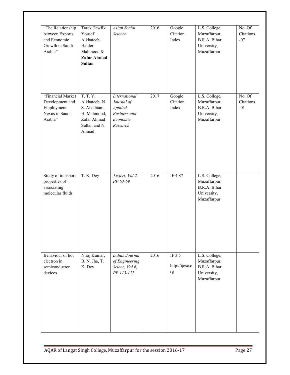| "The Relationship<br>between Exports<br>and Economic<br>Growth in Saudi<br>Arabia" | Tarek Tawfik<br>Yousef<br>Alkhateeb,<br>Haider<br>Mahmood &<br>Zafar Ahmad<br>Sultan               | Asian Social<br>Science                                                               | 2016 | Google<br>Citation<br>Index    | L.S. College,<br>Muzaffarpur,<br>B.R.A. Bihar<br>University,<br>Muzaffarpur | No. Of<br>Citations<br>$-07$ |
|------------------------------------------------------------------------------------|----------------------------------------------------------------------------------------------------|---------------------------------------------------------------------------------------|------|--------------------------------|-----------------------------------------------------------------------------|------------------------------|
| "Financial Market<br>Development and<br>Employment<br>Nexus in Saudi<br>Arabia"    | T. T. Y.<br>Alkhateeb, N.<br>S. Alkahtani,<br>H. Mahmood,<br>Zafar Ahmad<br>Sultan and N.<br>Ahmad | International<br>Journal of<br>Applied<br><b>Business</b> and<br>Economic<br>Research | 2017 | Google<br>Citation<br>Index    | L.S. College,<br>Muzaffarpur,<br>B.R.A. Bihar<br>University,<br>Muzaffarpur | No. Of<br>Citations<br>$-01$ |
| Study of transport<br>properties of<br>associating<br>molecular fluids             | T. K. Dey                                                                                          | J.wjert, Vol 2,<br>PP 63-69                                                           | 2016 | IF 4.87                        | L.S. College,<br>Muzaffarpur,<br>B.R.A. Bihar<br>University,<br>Muzaffarpur |                              |
| Behaviour of hot<br>electron in<br>semiconductor<br>devices                        | Niraj Kumar,<br>B. N. Jha, T.<br>K. Dey                                                            | Indian Journal<br>of Engineering<br>Scienc, Vol 6,<br>PP 113-117                      | 2016 | IF 3.5<br>http://ijesc.o<br>rg | L.S. College,<br>Muzaffarpur,<br>B.R.A. Bihar<br>University,<br>Muzaffarpur |                              |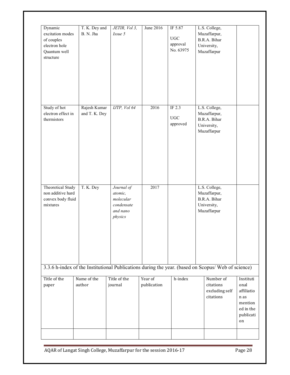| Dynamic<br>excitation modes<br>of couples<br>electron hole<br>Quantum well<br>structure | T. K. Dey and<br>B. N. Jha    | JETIR, Vol 3,<br>Issue 5                                                | June 2016              | IF 5.87<br>UGC<br>approval<br>No. 63975 | L.S. College,<br>Muzaffarpur,<br>B.R.A. Bihar<br>University,<br>Muzaffarpur                                                                                 |                                                                                    |
|-----------------------------------------------------------------------------------------|-------------------------------|-------------------------------------------------------------------------|------------------------|-----------------------------------------|-------------------------------------------------------------------------------------------------------------------------------------------------------------|------------------------------------------------------------------------------------|
| Study of hot<br>electron effect in<br>thermistors                                       | Rajesh Kumar<br>and T. K. Dey | IJTP, Vol 64                                                            | 2016                   | IF $2.3$<br>UGC<br>approved             | L.S. College,<br>Muzaffarpur,<br>B.R.A. Bihar<br>University,<br>Muzaffarpur                                                                                 |                                                                                    |
| <b>Theoretical Study</b><br>non additive hard<br>convex body fluid<br>mixtures          | T. K. Dey                     | Journal of<br>atomic,<br>molecular<br>condensate<br>and nano<br>physics | 2017                   |                                         | L.S. College,<br>Muzaffarpur,<br>B.R.A. Bihar<br>University,<br>Muzaffarpur                                                                                 |                                                                                    |
| Title of the<br>paper                                                                   | Name of the<br>author         | Title of the<br>journal                                                 | Year of<br>publication | h-index                                 | 3.3.6 h-index of the Institutional Publications during the year. (based on Scopus/ Web of science)<br>Number of<br>citations<br>excluding self<br>citations | Instituti<br>onal<br>affiliatio<br>n as<br>mention<br>ed in the<br>publicati<br>on |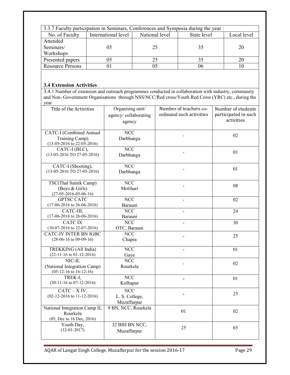|                         | 3.3.7 Faculty participation in Seminars, Conferences and Symposia during the year : |                |             |             |
|-------------------------|-------------------------------------------------------------------------------------|----------------|-------------|-------------|
| No. of Faculty          | International level                                                                 | National level | State level | Local level |
| Attended                |                                                                                     |                |             |             |
| Seminars/               | 05                                                                                  | 25             | 35          | 20          |
| Workshops               |                                                                                     |                |             |             |
| Presented papers        |                                                                                     |                |             |             |
| <b>Resource Persons</b> |                                                                                     |                |             |             |

## **3.4 Extension Activities**

3.4.1 Number of extension and outreach programmes conducted in collaboration with industry, community and Non- Government Organisations through NSS/NCC/Red cross/Youth Red Cross (YRC) etc., during the year

| Title of the Activities                                                          | Organising unit/<br>agency/collaborating<br>agency       | Number of teachers co-<br>ordinated such activities | Number of students<br>participated in such<br>activities |
|----------------------------------------------------------------------------------|----------------------------------------------------------|-----------------------------------------------------|----------------------------------------------------------|
| <b>CATC-I</b> (Combined Annual<br>Training Camp)<br>$(13-05-2016$ to 22-05-2016) | <b>NCC</b><br>Darbhanga                                  |                                                     | 02                                                       |
| CATC-I (BLC),<br>$(13-05-2016)$ TO 27-05-2016)                                   | <b>NCC</b><br>Darbhanga                                  |                                                     | 01                                                       |
| CATC-I (Shooting),<br>$(13-05-2016$ TO 27-05-2016)                               | <b>NCC</b><br>Darbhanga                                  |                                                     | 01                                                       |
| TSC(Thal Sainik Camp)<br>(Boys & Girls)<br>$(27-05-2016-05-06-16)$               | <b>NCC</b><br>Motihari                                   |                                                     | 08                                                       |
| <b>GPTSC CATC</b><br>$(17-06-2016$ to 26-06-2016)                                | <b>NCC</b><br>Barauni                                    |                                                     | 02                                                       |
| CATC-III,<br>$(17-06-2016$ to 26-06-2016)                                        | NCC<br>Barauni                                           |                                                     | 24                                                       |
| <b>CATCIX</b><br>$(10-07-2016$ to 22-07-2016)                                    | <b>NCC</b><br>OTC, Barauni                               | $\overline{a}$                                      | 30                                                       |
| <b>CATC-IV INTER BN IGBC</b><br>$(28-06-16$ to 09-09-16)                         | <b>NCC</b><br>Chapra                                     |                                                     | 25                                                       |
| TREKKING (All India)<br>$(22-11-16$ to $01-12-2016)$                             | NCC<br>Gaya                                              |                                                     | 01                                                       |
| $NIC-II$ ,<br>(National Integration Camp)<br>$(05-12-16$ to $16-12-16)$          | $\overline{\text{NCC}}$<br>Rourkela                      |                                                     | 02                                                       |
| TREK-I,<br>$(30-11-16$ to $07-12-2016)$                                          | <b>NCC</b><br>Kolhapur                                   |                                                     | 01                                                       |
| $CATC - X IV$ ,<br>$(02-12-2016$ to $11-12-2016)$                                | $\overline{\text{NCC}}$<br>L. S. College,<br>Muzaffarpur |                                                     | 25                                                       |
| National Integration Camp II,<br>Rourkela<br>(05, Dec to 16 Dec, 2016)           | 9 BN, NCC, Rourkela                                      | 01                                                  | 02                                                       |
| Youth Day,<br>$(12-01-2017)$                                                     | 32 BIH BN NCC,<br>Muzaffarpur                            | 25                                                  | 65                                                       |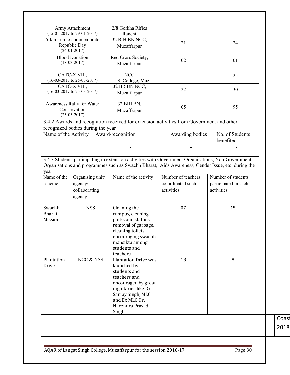|                                    | Army Attachment<br>$(15-01-2017$ to 29-01-2017)                                |  | 2/8 Gorkha Rifles<br>Ranchi                                                                                                                                             |                                 |                 |                                    |
|------------------------------------|--------------------------------------------------------------------------------|--|-------------------------------------------------------------------------------------------------------------------------------------------------------------------------|---------------------------------|-----------------|------------------------------------|
| 5-km. run to commemorate           | Republic Day<br>$(24-01-2017)$                                                 |  | 32 BIH BN NCC,<br>Muzaffarpur                                                                                                                                           |                                 | 21              | 24                                 |
|                                    | <b>Blood Donation</b><br>$(18-03-2017)$                                        |  | Red Cross Society,<br>02<br>Muzaffarpur                                                                                                                                 |                                 |                 | 01                                 |
|                                    | CATC-X VIII,<br>$(16-03-2017$ to 25-03-2017)                                   |  | <b>NCC</b><br>L. S. College, Muz.                                                                                                                                       |                                 | ۰               | 25                                 |
|                                    | CATC-X VIII,<br>$(16-03-2017$ to 25-03-2017)                                   |  | 32 BR BN NCC,<br>Muzaffarpur                                                                                                                                            |                                 | 22              | 30                                 |
| Awareness Rally for Water          | Conservation<br>$(23-03-2017)$                                                 |  | 32 BIH BN,<br>Muzaffarpur                                                                                                                                               |                                 | 05              | 95                                 |
| recognized bodies during the year  |                                                                                |  | 3.4.2 Awards and recognition received for extension activities from Government and other                                                                                |                                 |                 |                                    |
| Name of the Activity               |                                                                                |  | Award/recognition                                                                                                                                                       |                                 | Awarding bodies | No. of Students<br>benefited       |
|                                    |                                                                                |  |                                                                                                                                                                         |                                 |                 |                                    |
|                                    | Organising unit/<br>Name of the activity<br>agency/<br>collaborating<br>agency |  |                                                                                                                                                                         | co ordinated such<br>activities |                 |                                    |
| scheme                             |                                                                                |  |                                                                                                                                                                         |                                 |                 | participated in such<br>activities |
| Swachh<br><b>Bharat</b><br>Mission | <b>NSS</b>                                                                     |  | Cleaning the<br>campus, cleaning<br>parks and statues,<br>removal of garbage,<br>cleaning toilets,<br>encouraging swachh<br>mansikta among<br>students and<br>teachers. |                                 | 07              | 15                                 |

Coas<sup>t</sup>  $2018$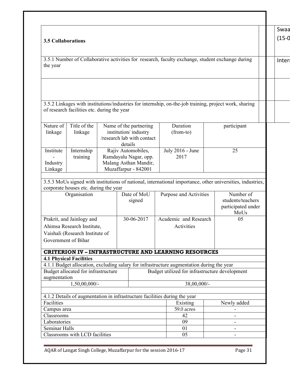| <b>3.5 Collaborations</b><br>3.5.1 Number of Collaborative activities for research, faculty exchange, student exchange during<br>the year<br>3.5.2 Linkages with institutions/industries for internship, on-the-job training, project work, sharing<br>of research facilities etc. during the year<br>Title of the<br>Nature of<br>Name of the partnering<br>Duration<br>participant<br>institution/industry<br>linkage<br>(from-to)<br>linkage<br>/research lab with contact<br>details<br>Institute<br>Internship<br>Rajiv Automobiles,<br>July 2016 - June<br>25<br>Ramdayalu Nagar, opp.<br>2017<br>training<br>Malang Asthan Mandir,<br>Industry<br>Muzaffarpur - 842001<br>Linkage<br>3.5.3 MoUs signed with institutions of national, international importance, other universities, industries,<br>corporate houses etc. during the year<br>Date of MoU<br>Number of<br>Organisation<br>Purpose and Activities<br>students/teachers<br>signed<br>participated under<br>MoUs<br>Prakrit, and Jainlogy and<br>30-06-2017<br>Academic and Research<br>05<br>Ahimsa Research Institute,<br>Activities<br>Vaishali (Research Institute of<br>Government of Bihar<br><b>CRITERION IV - INFRASTRUCTURE AND LEARNING RESOURCES</b><br><b>4.1 Physical Facilities</b><br>4.1.1 Budget allocation, excluding salary for infrastructure augmentation during the year<br>Budget allocated for infrastructure<br>Budget utilized for infrastructure development<br>augmentation<br>$1,50,00,000/$ -<br>38,00,000/-<br>4.1.2 Details of augmentation in infrastructure facilities during the year |  |  |          |
|--------------------------------------------------------------------------------------------------------------------------------------------------------------------------------------------------------------------------------------------------------------------------------------------------------------------------------------------------------------------------------------------------------------------------------------------------------------------------------------------------------------------------------------------------------------------------------------------------------------------------------------------------------------------------------------------------------------------------------------------------------------------------------------------------------------------------------------------------------------------------------------------------------------------------------------------------------------------------------------------------------------------------------------------------------------------------------------------------------------------------------------------------------------------------------------------------------------------------------------------------------------------------------------------------------------------------------------------------------------------------------------------------------------------------------------------------------------------------------------------------------------------------------------------------------------------------------------------|--|--|----------|
|                                                                                                                                                                                                                                                                                                                                                                                                                                                                                                                                                                                                                                                                                                                                                                                                                                                                                                                                                                                                                                                                                                                                                                                                                                                                                                                                                                                                                                                                                                                                                                                            |  |  | Swaa     |
|                                                                                                                                                                                                                                                                                                                                                                                                                                                                                                                                                                                                                                                                                                                                                                                                                                                                                                                                                                                                                                                                                                                                                                                                                                                                                                                                                                                                                                                                                                                                                                                            |  |  | $(15-0)$ |
|                                                                                                                                                                                                                                                                                                                                                                                                                                                                                                                                                                                                                                                                                                                                                                                                                                                                                                                                                                                                                                                                                                                                                                                                                                                                                                                                                                                                                                                                                                                                                                                            |  |  |          |
|                                                                                                                                                                                                                                                                                                                                                                                                                                                                                                                                                                                                                                                                                                                                                                                                                                                                                                                                                                                                                                                                                                                                                                                                                                                                                                                                                                                                                                                                                                                                                                                            |  |  | Inter    |
|                                                                                                                                                                                                                                                                                                                                                                                                                                                                                                                                                                                                                                                                                                                                                                                                                                                                                                                                                                                                                                                                                                                                                                                                                                                                                                                                                                                                                                                                                                                                                                                            |  |  |          |
|                                                                                                                                                                                                                                                                                                                                                                                                                                                                                                                                                                                                                                                                                                                                                                                                                                                                                                                                                                                                                                                                                                                                                                                                                                                                                                                                                                                                                                                                                                                                                                                            |  |  |          |
|                                                                                                                                                                                                                                                                                                                                                                                                                                                                                                                                                                                                                                                                                                                                                                                                                                                                                                                                                                                                                                                                                                                                                                                                                                                                                                                                                                                                                                                                                                                                                                                            |  |  |          |
|                                                                                                                                                                                                                                                                                                                                                                                                                                                                                                                                                                                                                                                                                                                                                                                                                                                                                                                                                                                                                                                                                                                                                                                                                                                                                                                                                                                                                                                                                                                                                                                            |  |  |          |
|                                                                                                                                                                                                                                                                                                                                                                                                                                                                                                                                                                                                                                                                                                                                                                                                                                                                                                                                                                                                                                                                                                                                                                                                                                                                                                                                                                                                                                                                                                                                                                                            |  |  |          |
|                                                                                                                                                                                                                                                                                                                                                                                                                                                                                                                                                                                                                                                                                                                                                                                                                                                                                                                                                                                                                                                                                                                                                                                                                                                                                                                                                                                                                                                                                                                                                                                            |  |  |          |
|                                                                                                                                                                                                                                                                                                                                                                                                                                                                                                                                                                                                                                                                                                                                                                                                                                                                                                                                                                                                                                                                                                                                                                                                                                                                                                                                                                                                                                                                                                                                                                                            |  |  |          |
|                                                                                                                                                                                                                                                                                                                                                                                                                                                                                                                                                                                                                                                                                                                                                                                                                                                                                                                                                                                                                                                                                                                                                                                                                                                                                                                                                                                                                                                                                                                                                                                            |  |  |          |
|                                                                                                                                                                                                                                                                                                                                                                                                                                                                                                                                                                                                                                                                                                                                                                                                                                                                                                                                                                                                                                                                                                                                                                                                                                                                                                                                                                                                                                                                                                                                                                                            |  |  |          |
|                                                                                                                                                                                                                                                                                                                                                                                                                                                                                                                                                                                                                                                                                                                                                                                                                                                                                                                                                                                                                                                                                                                                                                                                                                                                                                                                                                                                                                                                                                                                                                                            |  |  |          |
|                                                                                                                                                                                                                                                                                                                                                                                                                                                                                                                                                                                                                                                                                                                                                                                                                                                                                                                                                                                                                                                                                                                                                                                                                                                                                                                                                                                                                                                                                                                                                                                            |  |  |          |
|                                                                                                                                                                                                                                                                                                                                                                                                                                                                                                                                                                                                                                                                                                                                                                                                                                                                                                                                                                                                                                                                                                                                                                                                                                                                                                                                                                                                                                                                                                                                                                                            |  |  |          |
|                                                                                                                                                                                                                                                                                                                                                                                                                                                                                                                                                                                                                                                                                                                                                                                                                                                                                                                                                                                                                                                                                                                                                                                                                                                                                                                                                                                                                                                                                                                                                                                            |  |  |          |
|                                                                                                                                                                                                                                                                                                                                                                                                                                                                                                                                                                                                                                                                                                                                                                                                                                                                                                                                                                                                                                                                                                                                                                                                                                                                                                                                                                                                                                                                                                                                                                                            |  |  |          |
|                                                                                                                                                                                                                                                                                                                                                                                                                                                                                                                                                                                                                                                                                                                                                                                                                                                                                                                                                                                                                                                                                                                                                                                                                                                                                                                                                                                                                                                                                                                                                                                            |  |  |          |
|                                                                                                                                                                                                                                                                                                                                                                                                                                                                                                                                                                                                                                                                                                                                                                                                                                                                                                                                                                                                                                                                                                                                                                                                                                                                                                                                                                                                                                                                                                                                                                                            |  |  |          |
|                                                                                                                                                                                                                                                                                                                                                                                                                                                                                                                                                                                                                                                                                                                                                                                                                                                                                                                                                                                                                                                                                                                                                                                                                                                                                                                                                                                                                                                                                                                                                                                            |  |  |          |
|                                                                                                                                                                                                                                                                                                                                                                                                                                                                                                                                                                                                                                                                                                                                                                                                                                                                                                                                                                                                                                                                                                                                                                                                                                                                                                                                                                                                                                                                                                                                                                                            |  |  |          |
|                                                                                                                                                                                                                                                                                                                                                                                                                                                                                                                                                                                                                                                                                                                                                                                                                                                                                                                                                                                                                                                                                                                                                                                                                                                                                                                                                                                                                                                                                                                                                                                            |  |  |          |
|                                                                                                                                                                                                                                                                                                                                                                                                                                                                                                                                                                                                                                                                                                                                                                                                                                                                                                                                                                                                                                                                                                                                                                                                                                                                                                                                                                                                                                                                                                                                                                                            |  |  |          |
|                                                                                                                                                                                                                                                                                                                                                                                                                                                                                                                                                                                                                                                                                                                                                                                                                                                                                                                                                                                                                                                                                                                                                                                                                                                                                                                                                                                                                                                                                                                                                                                            |  |  |          |
|                                                                                                                                                                                                                                                                                                                                                                                                                                                                                                                                                                                                                                                                                                                                                                                                                                                                                                                                                                                                                                                                                                                                                                                                                                                                                                                                                                                                                                                                                                                                                                                            |  |  |          |
|                                                                                                                                                                                                                                                                                                                                                                                                                                                                                                                                                                                                                                                                                                                                                                                                                                                                                                                                                                                                                                                                                                                                                                                                                                                                                                                                                                                                                                                                                                                                                                                            |  |  |          |
|                                                                                                                                                                                                                                                                                                                                                                                                                                                                                                                                                                                                                                                                                                                                                                                                                                                                                                                                                                                                                                                                                                                                                                                                                                                                                                                                                                                                                                                                                                                                                                                            |  |  |          |
|                                                                                                                                                                                                                                                                                                                                                                                                                                                                                                                                                                                                                                                                                                                                                                                                                                                                                                                                                                                                                                                                                                                                                                                                                                                                                                                                                                                                                                                                                                                                                                                            |  |  |          |
|                                                                                                                                                                                                                                                                                                                                                                                                                                                                                                                                                                                                                                                                                                                                                                                                                                                                                                                                                                                                                                                                                                                                                                                                                                                                                                                                                                                                                                                                                                                                                                                            |  |  |          |
|                                                                                                                                                                                                                                                                                                                                                                                                                                                                                                                                                                                                                                                                                                                                                                                                                                                                                                                                                                                                                                                                                                                                                                                                                                                                                                                                                                                                                                                                                                                                                                                            |  |  |          |
|                                                                                                                                                                                                                                                                                                                                                                                                                                                                                                                                                                                                                                                                                                                                                                                                                                                                                                                                                                                                                                                                                                                                                                                                                                                                                                                                                                                                                                                                                                                                                                                            |  |  |          |
|                                                                                                                                                                                                                                                                                                                                                                                                                                                                                                                                                                                                                                                                                                                                                                                                                                                                                                                                                                                                                                                                                                                                                                                                                                                                                                                                                                                                                                                                                                                                                                                            |  |  |          |
|                                                                                                                                                                                                                                                                                                                                                                                                                                                                                                                                                                                                                                                                                                                                                                                                                                                                                                                                                                                                                                                                                                                                                                                                                                                                                                                                                                                                                                                                                                                                                                                            |  |  |          |
|                                                                                                                                                                                                                                                                                                                                                                                                                                                                                                                                                                                                                                                                                                                                                                                                                                                                                                                                                                                                                                                                                                                                                                                                                                                                                                                                                                                                                                                                                                                                                                                            |  |  |          |
|                                                                                                                                                                                                                                                                                                                                                                                                                                                                                                                                                                                                                                                                                                                                                                                                                                                                                                                                                                                                                                                                                                                                                                                                                                                                                                                                                                                                                                                                                                                                                                                            |  |  |          |
|                                                                                                                                                                                                                                                                                                                                                                                                                                                                                                                                                                                                                                                                                                                                                                                                                                                                                                                                                                                                                                                                                                                                                                                                                                                                                                                                                                                                                                                                                                                                                                                            |  |  |          |
| Facilities<br>Newly added<br>Existing                                                                                                                                                                                                                                                                                                                                                                                                                                                                                                                                                                                                                                                                                                                                                                                                                                                                                                                                                                                                                                                                                                                                                                                                                                                                                                                                                                                                                                                                                                                                                      |  |  |          |
| Campus area<br>59.0 acres                                                                                                                                                                                                                                                                                                                                                                                                                                                                                                                                                                                                                                                                                                                                                                                                                                                                                                                                                                                                                                                                                                                                                                                                                                                                                                                                                                                                                                                                                                                                                                  |  |  |          |
| Classrooms<br>42                                                                                                                                                                                                                                                                                                                                                                                                                                                                                                                                                                                                                                                                                                                                                                                                                                                                                                                                                                                                                                                                                                                                                                                                                                                                                                                                                                                                                                                                                                                                                                           |  |  |          |
| 09<br>Laboratories                                                                                                                                                                                                                                                                                                                                                                                                                                                                                                                                                                                                                                                                                                                                                                                                                                                                                                                                                                                                                                                                                                                                                                                                                                                                                                                                                                                                                                                                                                                                                                         |  |  |          |
| Seminar Halls<br>01                                                                                                                                                                                                                                                                                                                                                                                                                                                                                                                                                                                                                                                                                                                                                                                                                                                                                                                                                                                                                                                                                                                                                                                                                                                                                                                                                                                                                                                                                                                                                                        |  |  |          |
| Classrooms with LCD facilities<br>05                                                                                                                                                                                                                                                                                                                                                                                                                                                                                                                                                                                                                                                                                                                                                                                                                                                                                                                                                                                                                                                                                                                                                                                                                                                                                                                                                                                                                                                                                                                                                       |  |  |          |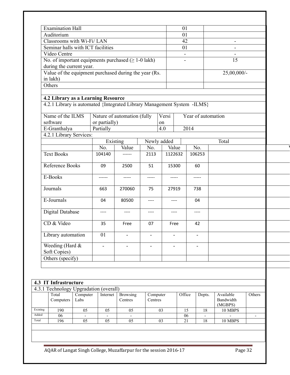| <b>Examination Hall</b>                                                 |                  |                          |                             |                          |       | 01                                         |      |                    |                                   |        |
|-------------------------------------------------------------------------|------------------|--------------------------|-----------------------------|--------------------------|-------|--------------------------------------------|------|--------------------|-----------------------------------|--------|
| Auditorium                                                              |                  |                          |                             |                          |       | 01                                         |      |                    |                                   |        |
| Classrooms with Wi-Fi/LAN                                               |                  |                          |                             |                          |       | 42                                         |      |                    | $\blacksquare$                    |        |
| Seminar halls with ICT facilities                                       |                  |                          |                             |                          |       | 01                                         |      |                    |                                   |        |
| Video Centre<br>No. of important equipments purchased $( \ge 1-0$ lakh) |                  |                          |                             |                          |       | $\overline{\phantom{a}}$<br>$\blacksquare$ |      |                    | 15                                |        |
| during the current year.                                                |                  |                          |                             |                          |       |                                            |      |                    |                                   |        |
| Value of the equipment purchased during the year (Rs.                   |                  |                          |                             |                          |       |                                            |      |                    | 25,00,000/-                       |        |
| in lakh)                                                                |                  |                          |                             |                          |       |                                            |      |                    |                                   |        |
| Others                                                                  |                  |                          |                             |                          |       |                                            |      |                    |                                   |        |
|                                                                         |                  |                          |                             |                          |       |                                            |      |                    |                                   |        |
| 4.2 Library as a Learning Resource                                      |                  |                          |                             |                          |       |                                            |      |                    |                                   |        |
| 4.2.1 Library is automated {Integrated Library Management System -ILMS} |                  |                          |                             |                          |       |                                            |      |                    |                                   |        |
|                                                                         |                  |                          |                             |                          |       |                                            |      |                    |                                   |        |
| Name of the ILMS                                                        |                  |                          | Nature of automation (fully |                          | Versi |                                            |      | Year of automation |                                   |        |
| software                                                                |                  | or partially)            |                             |                          | on    |                                            |      |                    |                                   |        |
| E-Granthalya                                                            |                  | Partially                |                             |                          | 4.0   |                                            | 2014 |                    |                                   |        |
| 4.2.1 Library Services:                                                 |                  | Existing                 |                             | Newly added              |       |                                            |      |                    | Total                             |        |
|                                                                         |                  | No.                      | Value                       | No.                      |       | Value                                      |      | No.                |                                   |        |
| <b>Text Books</b>                                                       |                  | 104140                   | ------                      | 2113                     |       | 1122632                                    |      | 106253             |                                   |        |
|                                                                         |                  |                          |                             |                          |       |                                            |      |                    |                                   |        |
| Reference Books                                                         |                  | 09                       | 2500                        | 51                       |       | 15300                                      |      | 60                 |                                   |        |
| E-Books                                                                 |                  | ------                   | $--- - -$                   | -----                    |       | -----                                      |      | -----              |                                   |        |
| Journals                                                                |                  | 663                      | 270060                      | 75                       |       | 27919                                      |      | 738                |                                   |        |
| E-Journals                                                              |                  | 04                       | 80500                       | $---$                    |       | ----                                       |      | 04                 |                                   |        |
|                                                                         |                  |                          |                             |                          |       |                                            |      |                    |                                   |        |
| Digital Database                                                        |                  | ----                     | ----                        | ----                     |       | ----                                       |      | $---$              |                                   |        |
| CD & Video                                                              |                  | 35                       | Free                        | 07                       |       | Free                                       |      | 42                 |                                   |        |
| Library automation                                                      |                  | 01                       |                             |                          |       |                                            |      |                    |                                   |        |
|                                                                         |                  |                          |                             |                          |       |                                            |      |                    |                                   |        |
| Weeding (Hard &<br>Soft Copies)                                         |                  | $\overline{\phantom{0}}$ | $\overline{\phantom{a}}$    | $\overline{\phantom{a}}$ |       | $\blacksquare$                             |      | $\blacksquare$     |                                   |        |
| Others (specify)                                                        |                  |                          |                             |                          |       |                                            |      |                    |                                   |        |
|                                                                         |                  |                          |                             |                          |       |                                            |      |                    |                                   |        |
|                                                                         |                  |                          |                             |                          |       |                                            |      |                    |                                   |        |
|                                                                         |                  |                          |                             |                          |       |                                            |      |                    |                                   |        |
| 4.3 IT Infrastructure                                                   |                  |                          |                             |                          |       |                                            |      |                    |                                   |        |
| 4.3.1 Technology Upgradation (overall)                                  |                  |                          |                             |                          |       |                                            |      |                    |                                   |        |
| Total<br>Computers                                                      | Computer<br>Labs | Internet                 | <b>Browsing</b><br>Centres  | Computer<br>Centres      |       | Office                                     |      | Depts.             | Available<br>Bandwidth<br>(MGBPS) | Others |
| 190                                                                     | 05               | 05                       | 05                          |                          | 03    | 15                                         |      | 18                 | 10 MBPS                           |        |
| 06                                                                      |                  |                          |                             |                          |       | 06                                         |      |                    |                                   |        |
| 196                                                                     | 05               | 05                       | 05                          | 03                       |       | 21                                         |      | $\overline{18}$    | 10 MBPS                           |        |

ī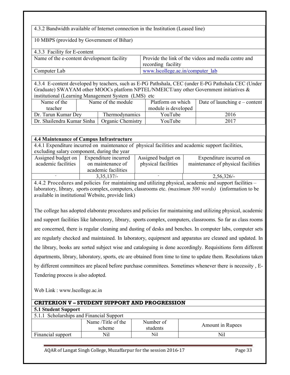## 4.3.2 Bandwidth available of Internet connection in the Institution (Leased line)

#### 10 MBPS (provided by Government of Bihar)

| 4.3.3 Facility for E-content               |                                                     |
|--------------------------------------------|-----------------------------------------------------|
| Name of the e-content development facility | Provide the link of the videos and media centre and |
|                                            | recording facility                                  |
| Computer Lab                               | www.lscollege.ac.in/computer lab                    |

4.3.4 E-content developed by teachers, such as E-PG Pathshala, CEC (under E-PG Pathshala CEC (Under Graduate) SWAYAM other MOOCs platform NPTEL/NMEICT/any other Government initiatives & institutional (Learning Management System (LMS) etc

| Name of the                | Name of the module |                   | Platform on which   | Date of launching $e$ – content |
|----------------------------|--------------------|-------------------|---------------------|---------------------------------|
| teacher                    |                    |                   | module is developed |                                 |
| Dr. Tarun Kumar Dey        |                    | Thermodynamics    | YouTube             | 2016                            |
| Dr. Shailendra Kumar Sinha |                    | Organic Chemistry | YouTube             | 2017                            |

| <b>4.4 Maintenance of Campus Infrastructure</b>                                                         |                                             |                     |                                                                                                        |  |  |  |  |  |  |  |
|---------------------------------------------------------------------------------------------------------|---------------------------------------------|---------------------|--------------------------------------------------------------------------------------------------------|--|--|--|--|--|--|--|
| 4.4.1 Expenditure incurred on maintenance of physical facilities and academic support facilities,       |                                             |                     |                                                                                                        |  |  |  |  |  |  |  |
|                                                                                                         | excluding salary component, during the year |                     |                                                                                                        |  |  |  |  |  |  |  |
| Assigned budget on                                                                                      | Expenditure incurred                        | Assigned budget on  | Expenditure incurred on                                                                                |  |  |  |  |  |  |  |
| academic facilities                                                                                     | on maintenance of                           | physical facilities | maintenance of physical facilities                                                                     |  |  |  |  |  |  |  |
|                                                                                                         | academic facilities                         |                     |                                                                                                        |  |  |  |  |  |  |  |
|                                                                                                         | $3,35,137/-$                                |                     | $2,56,326/-$                                                                                           |  |  |  |  |  |  |  |
| 4.4.2 Procedures and policies for maintaining and utilizing physical, academic and support facilities – |                                             |                     |                                                                                                        |  |  |  |  |  |  |  |
|                                                                                                         |                                             |                     | laboratory, library, sports complex, computers, classrooms etc. (maximum 500 words) (information to be |  |  |  |  |  |  |  |

available in institutional Website, provide link)

The college has adopted elaborate procedures and policies for maintaining and utilizing physical, academic and support facilities like laboratory, library, sports complex, computers, classrooms. So far as class rooms are concerned, there is regular cleaning and dusting of desks and benches. In computer labs, computer sets are regularly checked and maintained. In laboratory, equipment and apparatus are cleaned and updated. In the library, books are sorted subject wise and cataloguing is done accordingly. Requisitions form different departments, library, laboratory, sports, etc are obtained from time to time to update them. Resolutions taken by different committees are placed before purchase committees. Sometimes whenever there is necessity , E-Tendering process is also adopted.

Web Link : www.lscollege.ac.in

| <b>CRITERION V - STUDENT SUPPORT AND PROGRESSION</b> |                    |           |                  |  |  |  |  |  |  |  |
|------------------------------------------------------|--------------------|-----------|------------------|--|--|--|--|--|--|--|
| <b>5.1 Student Support</b>                           |                    |           |                  |  |  |  |  |  |  |  |
| 5.1.1 Scholarships and Financial Support             |                    |           |                  |  |  |  |  |  |  |  |
|                                                      | Name /Title of the | Number of | Amount in Rupees |  |  |  |  |  |  |  |
|                                                      | scheme             | students  |                  |  |  |  |  |  |  |  |
| Financial support                                    | Nil                | Nil       | Nil              |  |  |  |  |  |  |  |
|                                                      |                    |           |                  |  |  |  |  |  |  |  |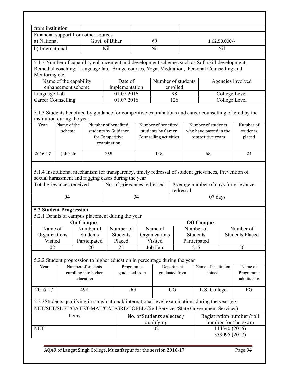| from institution                     |                        |       |                       |             |                                                                             |           |                           |                |          |                                                                                                       |               |                                                                                                         |
|--------------------------------------|------------------------|-------|-----------------------|-------------|-----------------------------------------------------------------------------|-----------|---------------------------|----------------|----------|-------------------------------------------------------------------------------------------------------|---------------|---------------------------------------------------------------------------------------------------------|
| Financial support from other sources |                        |       |                       |             |                                                                             |           |                           |                |          |                                                                                                       |               |                                                                                                         |
| a) National                          |                        |       | Govt. of Bihar        |             |                                                                             |           | 60                        |                |          |                                                                                                       | 1,62,50,000/- |                                                                                                         |
| b) International                     |                        |       |                       | Nil         |                                                                             |           | Nil                       |                |          |                                                                                                       | Nil           |                                                                                                         |
|                                      |                        |       |                       |             |                                                                             |           |                           |                |          |                                                                                                       |               |                                                                                                         |
|                                      |                        |       |                       |             |                                                                             |           |                           |                |          | 5.1.2 Number of capability enhancement and development schemes such as Soft skill development,        |               |                                                                                                         |
|                                      |                        |       |                       |             |                                                                             |           |                           |                |          | Remedial coaching, Language lab, Bridge courses, Yoga, Meditation, Personal Counselling and           |               |                                                                                                         |
| Mentoring etc.                       |                        |       |                       |             |                                                                             |           |                           |                |          |                                                                                                       |               |                                                                                                         |
|                                      | Name of the capability |       |                       |             | Date of                                                                     |           | Number of students        |                |          |                                                                                                       |               | Agencies involved                                                                                       |
|                                      | enhancement scheme     |       |                       |             | implementation                                                              |           |                           | enrolled       |          |                                                                                                       |               |                                                                                                         |
| Language Lab                         |                        |       |                       |             | 01.07.2016                                                                  |           |                           | 98             |          |                                                                                                       | College Level |                                                                                                         |
| <b>Career Counselling</b>            |                        |       |                       |             | 01.07.2016                                                                  |           |                           | 126            |          |                                                                                                       | College Level |                                                                                                         |
|                                      |                        |       |                       |             |                                                                             |           |                           |                |          |                                                                                                       |               |                                                                                                         |
|                                      |                        |       |                       |             |                                                                             |           |                           |                |          |                                                                                                       |               | 5.1.3 Students benefited by guidance for competitive examinations and career counselling offered by the |
| institution during the year          |                        |       |                       |             |                                                                             |           |                           |                |          |                                                                                                       |               |                                                                                                         |
| Year                                 | Name of the            |       |                       |             | Number of benefited                                                         |           | Number of benefited       |                |          | Number of students                                                                                    |               | Number of                                                                                               |
|                                      | scheme                 |       |                       |             | students by Guidance                                                        |           | students by Career        |                |          | who have passed in the                                                                                |               | students                                                                                                |
|                                      |                        |       |                       |             | for Competitive                                                             |           | Counselling activities    |                |          | competitive exam                                                                                      |               | placed                                                                                                  |
|                                      |                        |       |                       | examination |                                                                             |           |                           |                |          |                                                                                                       |               |                                                                                                         |
|                                      |                        |       |                       |             |                                                                             |           |                           |                |          |                                                                                                       |               |                                                                                                         |
| 2016-17                              | Job Fair               |       |                       | 255         |                                                                             |           | 148                       |                | 68       |                                                                                                       |               | 24                                                                                                      |
|                                      |                        |       |                       |             |                                                                             |           |                           |                |          |                                                                                                       |               |                                                                                                         |
|                                      |                        |       |                       |             |                                                                             |           |                           |                |          |                                                                                                       |               |                                                                                                         |
|                                      |                        |       |                       |             | sexual harassment and ragging cases during the year                         |           |                           |                |          | 5.1.4 Institutional mechanism for transparency, timely redressal of student grievances, Prevention of |               |                                                                                                         |
|                                      |                        |       |                       |             | No. of grievances redressed                                                 |           |                           |                |          | Average number of days for grievance                                                                  |               |                                                                                                         |
| Total grievances received            |                        |       |                       |             |                                                                             | redressal |                           |                |          |                                                                                                       |               |                                                                                                         |
|                                      | 04                     |       |                       |             |                                                                             | 04        |                           |                | 07 days  |                                                                                                       |               |                                                                                                         |
|                                      |                        |       |                       |             |                                                                             |           |                           |                |          |                                                                                                       |               |                                                                                                         |
| 5.2 Student Progression              |                        |       |                       |             |                                                                             |           |                           |                |          |                                                                                                       |               |                                                                                                         |
|                                      |                        |       |                       |             | 5.2.1 Details of campus placement during the year                           |           |                           |                |          |                                                                                                       |               |                                                                                                         |
|                                      |                        |       | <b>On Campus</b>      |             |                                                                             |           |                           |                |          | <b>Off Campus</b>                                                                                     |               |                                                                                                         |
| Name of                              |                        |       |                       |             | Number of Number of                                                         |           | Name of                   |                |          | Number of                                                                                             |               | Number of                                                                                               |
| Organizations                        |                        |       | <b>Students</b>       |             | <b>Students</b>                                                             |           | Organizations             |                | Students |                                                                                                       |               | <b>Students Placed</b>                                                                                  |
| Visited                              |                        |       | Participated          |             | Placed                                                                      |           | Visited                   |                |          | Participated                                                                                          |               |                                                                                                         |
| 02                                   |                        |       | 120                   |             | 25                                                                          |           | Job Fair                  |                |          | 215                                                                                                   |               | 50                                                                                                      |
|                                      |                        |       |                       |             |                                                                             |           |                           |                |          |                                                                                                       |               |                                                                                                         |
|                                      |                        |       |                       |             | 5.2.2 Student progression to higher education in percentage during the year |           |                           |                |          |                                                                                                       |               |                                                                                                         |
| Year                                 |                        |       | Number of students    |             | Programme                                                                   |           |                           | Department     |          | Name of institution                                                                                   |               | Name of                                                                                                 |
|                                      |                        |       | enrolling into higher |             | graduated from                                                              |           |                           | graduated from |          | joined                                                                                                |               | Programme                                                                                               |
|                                      |                        |       | education             |             |                                                                             |           |                           |                |          |                                                                                                       |               | admitted to                                                                                             |
|                                      |                        |       |                       |             |                                                                             |           |                           |                |          |                                                                                                       |               |                                                                                                         |
| 2016-17                              |                        |       | 498                   |             | <b>UG</b>                                                                   |           |                           | <b>UG</b>      |          | L.S. College                                                                                          |               | PG                                                                                                      |
|                                      |                        |       |                       |             |                                                                             |           |                           |                |          |                                                                                                       |               |                                                                                                         |
|                                      |                        |       |                       |             |                                                                             |           |                           |                |          | 5.2.3Students qualifying in state/national/international level examinations during the year (eg:      |               |                                                                                                         |
|                                      |                        |       |                       |             |                                                                             |           |                           |                |          | NET/SET/SLET/GATE/GMAT/CAT/GRE/TOFEL/Civil Services/State Government Services)                        |               |                                                                                                         |
|                                      |                        | Items |                       |             |                                                                             |           | No. of Students selected/ |                |          |                                                                                                       |               | Registration number/roll                                                                                |
|                                      |                        |       |                       |             |                                                                             |           | qualifying                |                |          |                                                                                                       |               | number for the exam                                                                                     |
| <b>NET</b>                           |                        |       |                       |             |                                                                             |           | 02                        |                |          |                                                                                                       | 114540 (2016) |                                                                                                         |
|                                      |                        |       |                       |             |                                                                             |           |                           |                |          |                                                                                                       | 339095 (2017) |                                                                                                         |
|                                      |                        |       |                       |             |                                                                             |           |                           |                |          |                                                                                                       |               |                                                                                                         |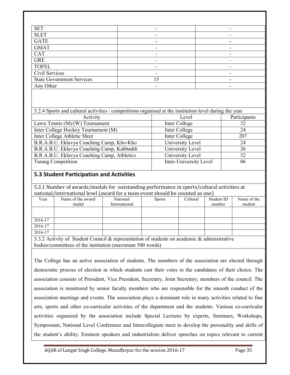| <b>SET</b>                       | $\overline{\phantom{0}}$ |
|----------------------------------|--------------------------|
| <b>SLET</b>                      |                          |
| <b>GATE</b>                      |                          |
| <b>GMAT</b>                      |                          |
| <b>CAT</b>                       | $\overline{\phantom{0}}$ |
| <b>GRE</b>                       |                          |
| <b>TOFEL</b>                     | -                        |
| Civil Services                   |                          |
| <b>State Government Services</b> |                          |
| Any Other                        |                          |

| 5.2.4 Sports and cultural activities / competitions organised at the institution level during the year |                        |              |  |  |  |  |  |
|--------------------------------------------------------------------------------------------------------|------------------------|--------------|--|--|--|--|--|
| Activity                                                                                               | Level                  | Participants |  |  |  |  |  |
| Lawn Tennis (M)/(W) Tournament                                                                         | Inter College          | 32           |  |  |  |  |  |
| Inter College Hockey Tournament (M)                                                                    | Inter College          | 24           |  |  |  |  |  |
| Inter College Athletic Meet                                                                            | Inter College          | 207          |  |  |  |  |  |
| B.R.A.B.U. Eklavya Coaching Camp, Kho-Kho                                                              | University Level       | 24           |  |  |  |  |  |
| B.R.A.B.U. Eklavya Coaching Camp, Kabbaddi                                                             | University Level       | 26           |  |  |  |  |  |
| B.R.A.B.U. Eklavya Coaching Camp, Athletics                                                            | University Level       | 32           |  |  |  |  |  |
| <b>Tarang Competition</b>                                                                              | Inter-University Level | 06           |  |  |  |  |  |
|                                                                                                        |                        |              |  |  |  |  |  |

## **5.3 Student Participation and Activities**

5.3.1 Number of awards/medals for outstanding performance in sports/cultural activities at national/international level (award for a team event should be counted as one)

| Year    | Name of the award/                                                                | National/     | <b>Sports</b> | Cultural | Student ID | Name of the |
|---------|-----------------------------------------------------------------------------------|---------------|---------------|----------|------------|-------------|
|         | medal                                                                             | International |               |          | number     | student     |
|         |                                                                                   |               |               |          |            |             |
|         |                                                                                   |               |               |          |            |             |
| 2016-17 |                                                                                   |               |               |          |            |             |
| 2016-17 |                                                                                   |               |               |          |            |             |
| 2016-17 |                                                                                   |               |               |          |            |             |
|         | 522 Agtivity of Student Council & representation of students on eggs and fractive |               |               |          |            |             |

5.3.2 Activity of Student Council & representation of students on academic & administrative bodies/committees of the institution (maximum 500 words)

The College has an active association of students. The members of the association are elected through democratic process of election in which students cast their votes to the candidates of their choice. The association consists of President, Vice President, Secretary, Joint Secretary, members of the council. The association is monitored by senior faculty members who are responsible for the smooth conduct of the association meetings and events. The association plays a dominant role in many activities related to fine arts, sports and other co-curricular activities of the department and the students. Various co-curricular activities organized by the association include Special Lectures by experts, Seminars, Workshops, Symposium, National Level Conference and Intercollegiate meet to develop the personality and skills of the student's ability. Eminent speakers and industrialists deliver speeches on topics relevant to current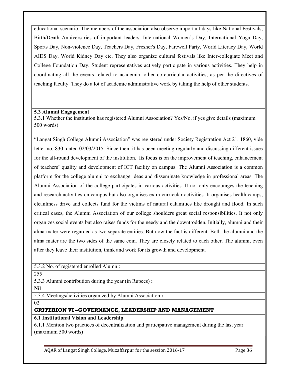educational scenario. The members of the association also observe important days like National Festivals, Birth/Death Anniversaries of important leaders, International Women's Day, International Yoga Day, Sports Day, Non-violence Day, Teachers Day, Fresher's Day, Farewell Party, World Literacy Day, World AIDS Day, World Kidney Day etc. They also organize cultural festivals like Inter-collegiate Meet and College Foundation Day. Student representatives actively participate in various activities. They help in coordinating all the events related to academia, other co-curricular activities, as per the directives of teaching faculty. They do a lot of academic administrative work by taking the help of other students.

#### **5.3 Alumni Engagement**

5.3.1 Whether the institution has registered Alumni Association? Yes/No, if yes give details (maximum 500 words):

"Langat Singh College Alumni Association" was registered under Society Registration Act 21, 1860, vide letter no. 830, dated 02/03/2015. Since then, it has been meeting regularly and discussing different issues for the all-round development of the institution. Its focus is on the improvement of teaching, enhancement of teachers' quality and development of ICT facility on campus. The Alumni Association is a common platform for the college alumni to exchange ideas and disseminate knowledge in professional areas. The Alumni Association of the college participates in various activities. It not only encourages the teaching and research activities on campus but also organises extra-curricular activities. It organises health camps, cleanliness drive and collects fund for the victims of natural calamities like drought and flood. In such critical cases, the Alumni Association of our college shoulders great social responsibilities. It not only organizes social events but also raises funds for the needy and the downtrodden. Initially, alumni and their alma mater were regarded as two separate entities. But now the fact is different. Both the alumni and the alma mater are the two sides of the same coin. They are closely related to each other. The alumni, even after they leave their institution, think and work for its growth and development.

5.3.2 No. of registered enrolled Alumni:

255

5.3.3 Alumni contribution during the year (in Rupees) **:** 

**Nil**

5.3.4 Meetings/activities organized by Alumni Association **:** 

02

**CRITERION VI –GOVERNANCE, LEADERSHIP AND MANAGEMENT**

**6.1 Institutional Vision and Leadership** 

6.1.1 Mention two practices of decentralization and participative management during the last year (maximum 500 words)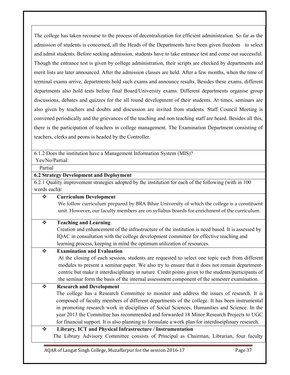The college has taken recourse to the process of decentralization for efficient administration. So far as the admission of students is concerned, all the Heads of the Departments have been given freedom to select and admit students. Before seeking admission, students have to take entrance test and come out successful. Though the entrance test is given by college administration, their scripts are checked by departments and merit lists are later announced. After the admission classes are held. After a few months, when the time of terminal exams arrive, departments hold such exams and announce results. Besides these exams, different departments also hold tests before final Board/University exams. Different departments organise group discussions, debates and quizzes for the all round development of their students. At times, seminars are also given by teachers and doubts and discussion are invited from students. Staff Council Meeting is convened periodically and the grievances of the teaching and non teaching staff are heard. Besides all this, there is the participation of teachers in college management. The Examination Department consisting of teachers, clerks and peons is headed by the Controller.

6.1.2 Does the institution have a Management Information System (MIS)?

Yes/No/Partial:

Partial

## **6.2 Strategy Development and Deployment**

6.2.1 Quality improvement strategies adopted by the institution for each of the following (with in 100 words each**):** 

# **Curriculum Development**

We follow curriculum prepared by BRA Bihar University of which the college is a constituent unit. However, our faculty members are on syllabus boards for enrichment of the curriculum.

# **Teaching and Learning**

 Creation and enhancement of the infrastructure of the institution is need based. It is assessed by IQAC in consultation with the college development committee for effective teaching and learning process, keeping in mind the optimum utilization of resources.

# **Examination and Evaluation**

At the closing of each session, students are requested to select one topic each from different modules to present a seminar paper. We also try to ensure that it does not remain departmentcentric but make it interdisciplinary in nature. Credit points given to the students/participants of the seminar form the basis of the internal assessment component of the semester examination.

# **Research and Development**

The college has a Research Committee to monitor and address the issues of research. It is composed of faculty members of different departments of the college. It has been instrumental in promoting research work in disciplines of Social Sciences, Humanities and Science. In the year 2013 the Committee has recommended and forwarded 18 Minor Research Projects to UGC for financial support. It is also planning to formulate a work plan for interdisciplinary research.

# **Library, ICT and Physical Infrastructure / Instrumentation**

The Library Advisory Committee consists of Principal as Chairman, Librarian, four faculty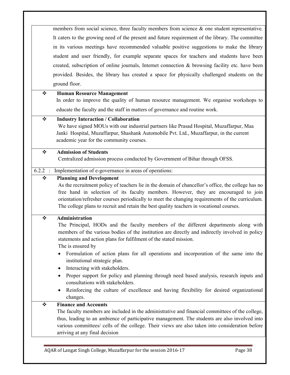members from social science, three faculty members from science & one student representative. It caters to the growing need of the present and future requirement of the library. The committee in its various meetings have recommended valuable positive suggestions to make the library student and user friendly, for example separate spaces for teachers and students have been created, subscription of online journals, Internet connection  $\&$  browsing facility etc. have been provided. Besides, the library has created a space for physically challenged students on the ground floor.

#### **Human Resource Management**

In order to improve the quality of human resource management. We organise workshops to educate the faculty and the staff in matters of governance and routine work.

#### **Industry Interaction / Collaboration**

 We have signed MOUs with our industrial partners like Prasad Hospital, Muzaffarpur, Maa Janki Hospital, Muzaffarpur, Shashank Automobile Pvt. Ltd., Muzaffarpur, in the current academic year for the community courses.

## **Admission of Students**

Centralized admission process conducted by Government of Bihar through OFSS.

6.2.2 : Implementation of e-governance in areas of operations:

#### **Planning and Development**

 As the recruitment policy of teachers lie in the domain of chancellor's office, the college has no free hand in selection of its faculty members. However, they are encouraged to join orientation/refresher courses periodically to meet the changing requirements of the curriculum. The college plans to recruit and retain the best quality teachers in vocational courses.

#### **Administration**

The Principal, HODs and the faculty members of the different departments along with members of the various bodies of the institution are directly and indirectly involved in policy statements and action plans for fulfilment of the stated mission.

The is ensured by

- Formulation of action plans for all operations and incorporation of the same into the institutional strategic plan.
- Interacting with stakeholders.
- Proper support for policy and planning through need based analysis, research inputs and consultations with stakeholders.
- Reinforcing the culture of excellence and having flexibility for desired organizational changes.

# **Finance and Accounts**

 The faculty members are included in the administrative and financial committees of the college, thus, leading to an ambience of participative management. The students are also involved into various committees/ cells of the college. Their views are also taken into consideration before arriving at any final decision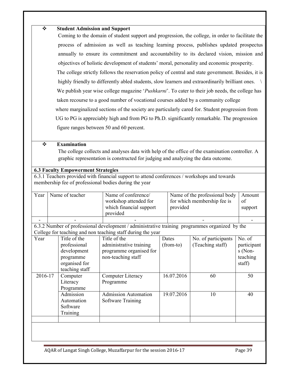#### **Student Admission and Support**

 Coming to the domain of student support and progression, the college, in order to facilitate the process of admission as well as teaching learning process, publishes updated prospectus annually to ensure its commitment and accountability to its declared vision, mission and objectives of holistic development of students' moral, personality and economic prosperity. The college strictly follows the reservation policy of central and state government. Besides, it is highly friendly to differently abled students, slow learners and extraordinarily brilliant ones. We publish year wise college magazine '*Pushkarni*'. To cater to their job needs, the college has taken recourse to a good number of vocational courses added by a community college where marginalized sections of the society are particularly cared for. Student progression from UG to PG is appreciably high and from PG to Ph.D. significantly remarkable. The progression figure ranges between 50 and 60 percent.

#### **Examination**

 The college collects and analyses data with help of the office of the examination controller. A graphic representation is constructed for judging and analyzing the data outcome.

# **6.3 Faculty Empowerment Strategies**

6.3.1 Teachers provided with financial support to attend conferences / workshops and towards membership fee of professional bodies during the year

| Year    | Name of teacher |                | Name of conference/                                                                            |  |             | Name of the professional body |             |  |  |
|---------|-----------------|----------------|------------------------------------------------------------------------------------------------|--|-------------|-------------------------------|-------------|--|--|
|         |                 |                | workshop attended for                                                                          |  |             | for which membership fee is   | of          |  |  |
|         |                 |                | which financial support                                                                        |  | provided    |                               | support     |  |  |
|         |                 |                | provided                                                                                       |  |             |                               |             |  |  |
|         |                 |                |                                                                                                |  |             |                               |             |  |  |
|         |                 |                | 6.3.2 Number of professional development / administrative training programmes organized by the |  |             |                               |             |  |  |
|         |                 |                | College for teaching and non teaching staff during the year                                    |  |             |                               |             |  |  |
| Year    |                 | Title of the   | Title of the                                                                                   |  | Dates       | No. of participants           | No. of      |  |  |
|         |                 | professional   | administrative training                                                                        |  | $(from-to)$ | (Teaching staff)              | participant |  |  |
|         |                 | development    | programme organised for                                                                        |  |             |                               | s (Non-     |  |  |
|         |                 | programme      | non-teaching staff                                                                             |  |             |                               | teaching    |  |  |
|         |                 | organised for  |                                                                                                |  |             |                               | staff)      |  |  |
|         |                 | teaching staff |                                                                                                |  |             |                               |             |  |  |
| 2016-17 |                 | Computer       | Computer Literacy                                                                              |  | 16.07.2016  | 60                            | 50          |  |  |
|         |                 | Literacy       | Programme                                                                                      |  |             |                               |             |  |  |
|         |                 | Programme      |                                                                                                |  |             |                               |             |  |  |
|         |                 | Admission      | <b>Admission Automation</b>                                                                    |  | 19.07.2016  | 10                            | 40          |  |  |
|         |                 | Automation     | Software Training                                                                              |  |             |                               |             |  |  |
|         |                 | Software       |                                                                                                |  |             |                               |             |  |  |
|         |                 | Training       |                                                                                                |  |             |                               |             |  |  |
|         |                 |                |                                                                                                |  |             |                               |             |  |  |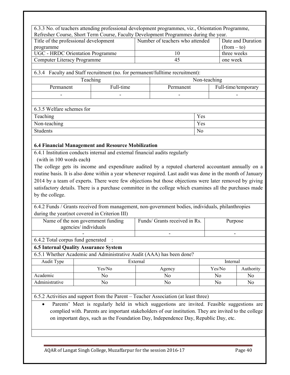6.3.3 No. of teachers attending professional development programmes, viz., Orientation Programme, Refresher Course, Short Term Course, Faculty Development Programmes during the year. Title of the professional development programme Number of teachers who attended  $\Box$  Date and Duration  $(from - to)$ UGC - HRDC Orientation Programme 10 10 three weeks Computer Literacy Programme 25 and 45 one week 6.3.4 Faculty and Staff recruitment (no. for permanent/fulltime recruitment): Teaching Non-teaching Permanent Full-time Permanent Full-time/temporary - - - - 6.3.5 Welfare schemes for Teaching **Yes** Non-teaching **Yes** Students No **6.4 Financial Management and Resource Mobilization**  6.4.1 Institution conducts internal and external financial audits regularly (with in 100 words each**)**  The college gets its income and expenditure audited by a reputed chartered accountant annually on a routine basis. It is also done within a year whenever required. Last audit was done in the month of January 2014 by a team of experts. There were few objections but those objections were later removed by giving satisfactory details. There is a purchase committee in the college which examines all the purchases made by the college. 6.4.2 Funds / Grants received from management, non-government bodies, individuals, philanthropies during the year(not covered in Criterion III) Name of the non government funding agencies/ individuals Funds/ Grants received in Rs. Purpose - - - 6.4.2 Total corpus fund generated : **6.5 Internal Quality Assurance System**  6.5.1 Whether Academic and Administrative Audit (AAA) has been done? Audit Type Richard External External Internal Yes/No  $\big|$  Agency  $\big|$  Yes/No Authority Academic No No No No

6.5.2 Activities and support from the Parent – Teacher Association (at least three)

• Parents' Meet is regularly held in which suggestions are invited. Feasible suggestions are complied with. Parents are important stakeholders of our institution. They are invited to the college on important days, such as the Foundation Day, Independence Day, Republic Day, etc.

Administrative No No No No No No No No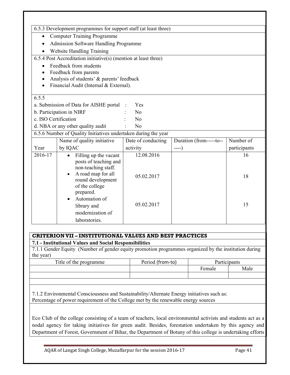|           | 6.5.3 Development programmes for support staff (at least three) |                    |                         |              |  |  |  |
|-----------|-----------------------------------------------------------------|--------------------|-------------------------|--------------|--|--|--|
| $\bullet$ | Computer Training Programme                                     |                    |                         |              |  |  |  |
|           | Admission Software Handling Programme                           |                    |                         |              |  |  |  |
|           | <b>Website Handling Training</b>                                |                    |                         |              |  |  |  |
|           | 6.5.4 Post Accreditation initiative(s) (mention at least three) |                    |                         |              |  |  |  |
| $\bullet$ | Feedback from students                                          |                    |                         |              |  |  |  |
|           | Feedback from parents                                           |                    |                         |              |  |  |  |
|           | Analysis of students' & parents' feedback                       |                    |                         |              |  |  |  |
|           | Financial Audit (Internal & External).                          |                    |                         |              |  |  |  |
| 6.5.5     |                                                                 |                    |                         |              |  |  |  |
|           | a. Submission of Data for AISHE portal                          | Yes                |                         |              |  |  |  |
|           | b. Participation in NIRF                                        | N <sub>0</sub>     |                         |              |  |  |  |
|           | c. ISO Certification<br>No                                      |                    |                         |              |  |  |  |
|           | d. NBA or any other quality audit                               | No                 |                         |              |  |  |  |
|           | 6.5.6 Number of Quality Initiatives undertaken during the year  |                    |                         |              |  |  |  |
|           | Name of quality initiative                                      | Date of conducting | Duration (from-----to-- | Number of    |  |  |  |
| Year      | by IQAC                                                         | activity           | $---)$                  | participants |  |  |  |
| 2016-17   | Filling up the vacant<br>$\bullet$                              | 12.08.2016         |                         | 16           |  |  |  |
|           | posts of teaching and                                           |                    |                         |              |  |  |  |
|           | non-teaching staff.<br>A road map for all                       |                    |                         |              |  |  |  |
|           | round development                                               | 05.02.2017         |                         | 18           |  |  |  |
|           | of the college                                                  |                    |                         |              |  |  |  |
|           | prepared.                                                       |                    |                         |              |  |  |  |
|           | Automation of                                                   |                    |                         |              |  |  |  |
|           | library and                                                     | 05.02.2017         |                         | 15           |  |  |  |
|           | modernization of                                                |                    |                         |              |  |  |  |
|           | laboratories.                                                   |                    |                         |              |  |  |  |

#### **CRITERIONVII – INSTITUTIONAL VALUES AND BEST PRACTICES**

#### **7.1 - Institutional Values and Social Responsibilities**

7.1.1 Gender Equity (Number of gender equity promotion programmes organized by the institution during the year)

| Title of the programme | Period (from-to) | Participants |      |  |
|------------------------|------------------|--------------|------|--|
|                        |                  | Female       | Male |  |
|                        |                  |              |      |  |
|                        |                  |              |      |  |

7.1.2 Environmental Consciousness and Sustainability/Alternate Energy initiatives such as: Percentage of power requirement of the College met by the renewable energy sources

Eco Club of the college consisting of a team of teachers, local environmental activists and students act as a nodal agency for taking initiatives for green audit. Besides, forestation undertaken by this agency and Department of Forest, Government of Bihar, the Department of Botany of this college is undertaking efforts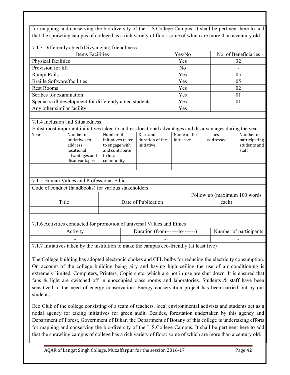for mapping and conserving the bio-diversity of the L.S.College Campus. It shall be pertinent here to add that the sprawling campus of college has a rich variety of flora: some of which are more than a century old.

|                                    | 7.1.3 Differently abled (Divyangjan) friendliness                                                          |                                                                                             |                                           |  |                |                           |                                       |                            |                                                     |
|------------------------------------|------------------------------------------------------------------------------------------------------------|---------------------------------------------------------------------------------------------|-------------------------------------------|--|----------------|---------------------------|---------------------------------------|----------------------------|-----------------------------------------------------|
| <b>Items Facilities</b>            |                                                                                                            |                                                                                             |                                           |  | Yes/No         |                           |                                       |                            | No. of Beneficiaries                                |
| Physical facilities                |                                                                                                            |                                                                                             |                                           |  | Yes            |                           |                                       | 32                         |                                                     |
| Provision for lift                 |                                                                                                            |                                                                                             |                                           |  | N <sub>o</sub> |                           |                                       |                            |                                                     |
| Ramp/Rails                         |                                                                                                            |                                                                                             |                                           |  | Yes            |                           |                                       |                            | 05                                                  |
| <b>Braille Software/facilities</b> |                                                                                                            |                                                                                             |                                           |  | Yes            |                           |                                       |                            | 05                                                  |
| <b>Rest Rooms</b>                  |                                                                                                            |                                                                                             |                                           |  | Yes            |                           |                                       |                            | 02                                                  |
| Scribes for examination            |                                                                                                            |                                                                                             |                                           |  | Yes            |                           |                                       |                            | 01                                                  |
|                                    | Special skill development for differently abled students                                                   |                                                                                             |                                           |  | Yes            |                           |                                       |                            | 01                                                  |
| Any other similar facility         |                                                                                                            |                                                                                             |                                           |  | Yes            |                           |                                       |                            |                                                     |
|                                    |                                                                                                            |                                                                                             |                                           |  |                |                           |                                       |                            |                                                     |
|                                    | 7.1.4 Inclusion and Situatedness                                                                           |                                                                                             |                                           |  |                |                           |                                       |                            |                                                     |
|                                    | Enlist most important initiatives taken to address locational advantages and disadvantages during the year |                                                                                             |                                           |  |                |                           |                                       |                            |                                                     |
| Year                               | Number of<br>initiatives to<br>address<br>locational<br>advantages and<br>disadvantages                    | Number of<br>initiatives taken<br>to engage with<br>and contribute<br>to local<br>community | Date and<br>duration of the<br>initiative |  |                | Name of the<br>initiative |                                       | <b>Issues</b><br>addressed | Number of<br>participating<br>students and<br>staff |
|                                    |                                                                                                            |                                                                                             |                                           |  |                |                           |                                       |                            |                                                     |
|                                    | 7.1.5 Human Values and Professional Ethics                                                                 |                                                                                             |                                           |  |                |                           |                                       |                            |                                                     |
|                                    | Code of conduct (handbooks) for various stakeholders                                                       |                                                                                             |                                           |  |                |                           |                                       |                            |                                                     |
| Title                              |                                                                                                            |                                                                                             | Date of Publication                       |  |                |                           | Follow up (maximum 100 words<br>each) |                            |                                                     |
|                                    |                                                                                                            |                                                                                             |                                           |  |                |                           |                                       |                            |                                                     |
|                                    |                                                                                                            |                                                                                             |                                           |  |                |                           |                                       |                            |                                                     |
|                                    | 7.1.6 Activities conducted for promotion of universal Values and Ethics                                    |                                                                                             |                                           |  |                |                           |                                       |                            |                                                     |
|                                    | Activity                                                                                                   |                                                                                             | Duration (from-------to-------)           |  |                |                           |                                       |                            | Number of participants                              |
|                                    |                                                                                                            |                                                                                             |                                           |  |                |                           |                                       |                            |                                                     |
|                                    | 7.1.7 Initiatives taken by the institution to make the campus eco-friendly (at least five)                 |                                                                                             |                                           |  |                |                           |                                       |                            |                                                     |
|                                    |                                                                                                            |                                                                                             |                                           |  |                |                           |                                       |                            |                                                     |

The College building has adopted electronic chokes and CFL bulbs for reducing the electricity consumption. On account of the college building being airy and having high ceiling the use of air conditioning is extremely limited. Computers, Printers, Copiers etc. which are not in use are shut down. It is ensured that fans & light are switched off in unoccupied class rooms and laboratories. Students & staff have been sensitized to the need of energy conservation. Energy conservation project has been carried out by our students.

Eco Club of the college consisting of a team of teachers, local environmental activists and students act as a nodal agency for taking initiatives for green audit. Besides, forestation undertaken by this agency and Department of Forest, Government of Bihar, the Department of Botany of this college is undertaking efforts for mapping and conserving the bio-diversity of the L.S.College Campus. It shall be pertinent here to add that the sprawling campus of college has a rich variety of flora: some of which are more than a century old.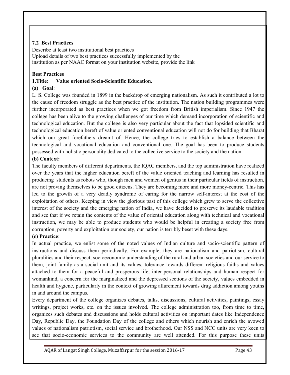# **7.2 Best Practices**

Describe at least two institutional best practices Upload details of two best practices successfully implemented by the institution as per NAAC format on your institution website, provide the link

# **Best Practices**

# **1.Title: Value oriented Socio-Scientific Education.**

# **(a) Goal**:

L. S. College was founded in 1899 in the backdrop of emerging nationalism. As such it contributed a lot to the cause of freedom struggle as the best practice of the institution. The nation building programmes were further incorporated as best practices when we got freedom from British imperialism. Since 1947 the college has been alive to the growing challenges of our time which demand incorporation of scientific and technological education. But the college is also very particular about the fact that lopsided scientific and technological education bereft of value oriented conventional education will not do for building that Bharat which our great forefathers dreamt of. Hence, the college tries to establish a balance between the technological and vocational education and conventional one. The goal has been to produce students possessed with holistic personality dedicated to the collective service to the society and the nation.

# **(b) Context:**

The faculty members of different departments, the IQAC members, and the top administration have realized over the years that the higher education bereft of the value oriented teaching and learning has resulted in producing students as robots who, though men and women of genius in their particular fields of instruction, are not proving themselves to be good citizens. They are becoming more and more money-centric. This has led to the growth of a very deadly syndrome of caring for the narrow self-interest at the cost of the exploitation of others. Keeping in view the glorious past of this college which grew to serve the collective interest of the society and the emerging nation of India, we have decided to preserve its laudable tradition and see that if we retain the contents of the value of oriental education along with technical and vocational instruction, we may be able to produce students who would be helpful in creating a society free from corruption, poverty and exploitation our society, our nation is terribly beset with these days.

# **(c) Practice**:

In actual practice, we enlist some of the noted values of Indian culture and socio-scientific pattern of instructions and discuss them periodically. For example, they are nationalism and patriotism, cultural pluralities and their respect, socioeconomic understanding of the rural and urban societies and our service to them, joint family as a social unit and its values, tolerance towards different religious faiths and values attached to them for a peaceful and prosperous life, inter-personal relationships and human respect for womankind, a concern for the marginalized and the depressed sections of the society, values embedded in health and hygiene, particularly in the context of growing allurement towards drug addiction among youths in and around the campus.

Every department of the college organizes debates, talks, discussions, cultural activities, paintings, essay writings, project works, etc. on the issues involved. The college administration too, from time to time, organizes such debates and discussions and holds cultural activities on important dates like Independence Day, Republic Day, the Foundation Day of the college and others which nourish and enrich the avowed values of nationalism patriotism, social service and brotherhood. Our NSS and NCC units are very keen to see that socio-economic services to the community are well attended. For this purpose these units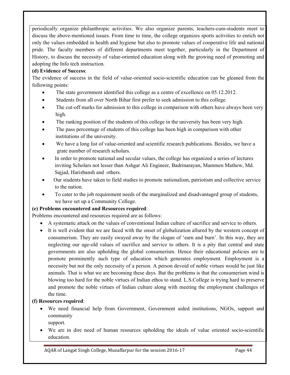periodically organize philanthropic activities. We also organize parents, teachers-cum-students meet to discuss the above-mentioned issues. From time to time, the college organizes sports activities to enrich not only the values embedded in health and hygiene but also to promote values of cooperative life and national pride. The faculty members of different departments meet together, particularly in the Department of History, to discuss the necessity of value-oriented education along with the growing need of promoting and adopting the Info tech instruction.

# **(d) Evidence of Success**:

The evidence of success in the field of value-oriented socio-scientific education can be gleaned from the following points:

- The state government identified this college as a centre of excellence on 05.12.2012.
- Students from all over North Bihar first prefer to seek admission to this college.
- The cut-off marks for admission to this college in comparison with others have always been very high.
- The ranking position of the students of this college in the university has been very high.
- The pass percentage of students of this college has been high in comparison with other institutions of the university.
- We have a long list of value-oriented and scientific research publications. Besides, we have a grate number of research scholars.
- In order to promote national and secular values, the college has organized a series of lectures inviting Scholars not lesser than Ashgar Ali Engineer, Badrinarayan, Mammen Mathew, Md. Sajjad, Harisbansh and others.
- Our students have taken to field studies to promote nationalism, patriotism and collective service to the nation.
- To cater to the job requirement needs of the marginalized and disadvantaged group of students, we have set up a Community College.

# **(e) Problems encountered and Resources required**:

Problems encountered and resources required are as follows:

- A systematic attack on the values of conventional Indian culture of sacrifice and service to others.
- It is well evident that we are faced with the onset of globalization allured by the western concept of consumerism. They are easily swayed away by the slogan of 'earn and burn'. In this way, they are neglecting our age-old values of sacrifice and service to others. It is a pity that central and state governments are also upholding the global consumerism. Hence their educational policies are to promote prominently such type of education which generates employment. Employment is a necessity but not the only necessity of a person. A person devoid of noble virtues would be just like animals. That is what we are becoming these days. But the problems is that the consumerism wind is blowing too hard for the noble virtues of Indian ethos to stand. L.S.College is trying hard to preserve and promote the noble virtues of Indian culture along with meeting the employment challenges of the time.

# **(f) Resources required**:

• We need financial help from Government, Government aided institutions, NGOs, support and community

support.

• We are in dire need of human resources upholding the ideals of value oriented socio-scientific education.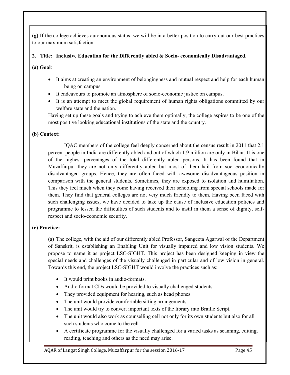**(g)** If the college achieves autonomous status, we will be in a better position to carry out our best practices to our maximum satisfaction.

# **2. Title: Inclusive Education for the Differently abled & Socio- economically Disadvantaged.**

**(a) Goal**:

- It aims at creating an environment of belongingness and mutual respect and help for each human being on campus.
- It endeavours to promote an atmosphere of socio-economic justice on campus.
- It is an attempt to meet the global requirement of human rights obligations committed by our welfare state and the nation.

Having set up these goals and trying to achieve them optimally, the college aspires to be one of the most positive looking educational institutions of the state and the country.

# **(b) Context:**

IQAC members of the college feel deeply concerned about the census result in 2011 that 2.1 percent people in India are differently abled and out of which 1.9 million are only in Bihar. It is one of the highest percentages of the total differently abled persons. It has been found that in Muzaffarpur they are not only differently abled but most of them hail from soci-economically disadvantaged groups. Hence, they are often faced with awesome disadvantageous position in comparison with the general students. Sometimes, they are exposed to isolation and humiliation. This they feel much when they come having received their schooling from special schools made for them. They find that general colleges are not very much friendly to them. Having been faced with such challenging issues, we have decided to take up the cause of inclusive education policies and programme to lessen the difficulties of such students and to instil in them a sense of dignity, selfrespect and socio-economic security.

# **(c) Practice:**

(a) The college, with the aid of our differently abled Professor, Sangeeta Agarwal of the Department of Sanskrit, is establishing an Enabling Unit for visually impaired and low vision students. We propose to name it as project LSC-SIGHT. This project has been designed keeping in view the special needs and challenges of the visually challenged in particular and of low vision in general. Towards this end, the project LSC-SIGHT would involve the practices such as:

- It would print books in audio-formats.
- Audio format CDs would be provided to visually challenged students.
- They provided equipment for hearing, such as head phones.
- The unit would provide comfortable sitting arrangements.
- The unit would try to convert important texts of the library into Braille Script.
- The unit would also work as counselling cell not only for its own students but also for all such students who come to the cell.
- A certificate programme for the visually challenged for a varied tasks as scanning, editing, reading, teaching and others as the need may arise.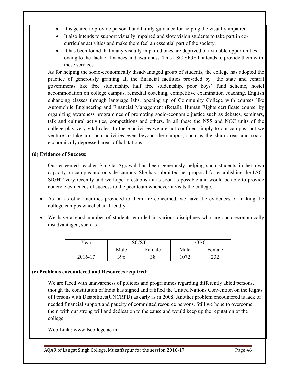- It is geared to provide personal and family guidance for helping the visually impaired.
- It also intends to support visually impaired and slow vision students to take part in cocurricular activities and make them feel an essential part of the society.
- It has been found that many visually impaired ones are deprived of available opportunities owing to the lack of finances and awareness. This LSC-SIGHT intends to provide them with these services.

As for helping the socio-economically disadvantaged group of students, the college has adopted the practice of generously granting all the financial facilities provided by the state and central governments like free studentship, half free studentship, poor boys' fund scheme, hostel accommodation on college campus, remedial coaching, competitive examination coaching, English enhancing classes through language labs, opening up of Community College with courses like Automobile Engineering and Financial Management (Retail), Human Rights certificate course, by organizing awareness programmes of promoting socio-economic justice such as debates, seminars, talk and cultural activities, competitions and others. In all these the NSS and NCC units of the college play very vital roles. In these activities we are not confined simply to our campus, but we venture to take up such activities even beyond the campus, such as the slum areas and socioeconomically depressed areas of habitations.

## **(d) Evidence of Success:**

Our esteemed teacher Sangita Agrawal has been generously helping such students in her own capacity on campus and outside campus. She has submitted her proposal for establishing the LSC-SIGHT very recently and we hope to establish it as soon as possible and would be able to provide concrete evidences of success to the peer team whenever it visits the college.

- As far as other facilities provided to them are concerned, we have the evidences of making the college campus wheel chair friendly.
- We have a good number of students enrolled in various disciplines who are socio-economically disadvantaged, such as

| Year    |      | C/CT      |      | ЭΒС       |
|---------|------|-----------|------|-----------|
|         | Male | Female    | Male | Female    |
| 2016-17 | 396  | າ ດ<br>90 | 1072 | ີ<br>ے رے |

#### **(e) Problems encountered and Resources required:**

We are faced with unawareness of policies and programmes regarding differently abled persons, though the constitution of India has signed and ratified the United Nations Convention on the Rights of Persons with Disabilities(UNCRPD) as early as in 2008. Another problem encountered is lack of needed financial support and paucity of committed resource persons. Still we hope to overcome them with our strong will and dedication to the cause and would keep up the reputation of the college.

Web Link : www.lscollege.ac.in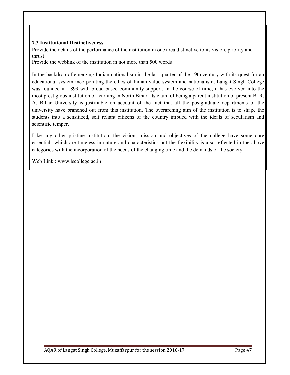## **7.3 Institutional Distinctiveness**

Provide the details of the performance of the institution in one area distinctive to its vision, priority and thrust

Provide the weblink of the institution in not more than 500 words

In the backdrop of emerging Indian nationalism in the last quarter of the 19th century with its quest for an educational system incorporating the ethos of Indian value system and nationalism, Langat Singh College was founded in 1899 with broad based community support. In the course of time, it has evolved into the most prestigious institution of learning in North Bihar. Its claim of being a parent institution of present B. R. A. Bihar University is justifiable on account of the fact that all the postgraduate departments of the university have branched out from this institution. The overarching aim of the institution is to shape the students into a sensitized, self reliant citizens of the country imbued with the ideals of secularism and scientific temper.

Like any other pristine institution, the vision, mission and objectives of the college have some core essentials which are timeless in nature and characteristics but the flexibility is also reflected in the above categories with the incorporation of the needs of the changing time and the demands of the society.

Web Link : www.lscollege.ac.in